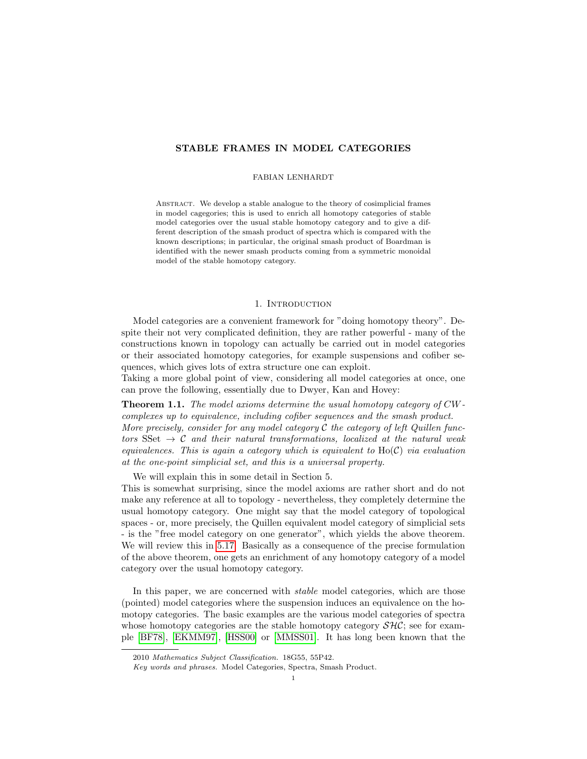## STABLE FRAMES IN MODEL CATEGORIES

### FABIAN LENHARDT

Abstract. We develop a stable analogue to the theory of cosimplicial frames in model cagegories; this is used to enrich all homotopy categories of stable model categories over the usual stable homotopy category and to give a different description of the smash product of spectra which is compared with the known descriptions; in particular, the original smash product of Boardman is identified with the newer smash products coming from a symmetric monoidal model of the stable homotopy category.

## 1. INTRODUCTION

Model categories are a convenient framework for "doing homotopy theory". Despite their not very complicated definition, they are rather powerful - many of the constructions known in topology can actually be carried out in model categories or their associated homotopy categories, for example suspensions and cofiber sequences, which gives lots of extra structure one can exploit.

Taking a more global point of view, considering all model categories at once, one can prove the following, essentially due to Dwyer, Kan and Hovey:

Theorem 1.1. The model axioms determine the usual homotopy category of CWcomplexes up to equivalence, including cofiber sequences and the smash product. More precisely, consider for any model category C the category of left Quillen functors SSet  $\rightarrow$  C and their natural transformations, localized at the natural weak equivalences. This is again a category which is equivalent to  $H_0(\mathcal{C})$  via evaluation at the one-point simplicial set, and this is a universal property.

We will explain this in some detail in Section 5.

This is somewhat surprising, since the model axioms are rather short and do not make any reference at all to topology - nevertheless, they completely determine the usual homotopy category. One might say that the model category of topological spaces - or, more precisely, the Quillen equivalent model category of simplicial sets - is the "free model category on one generator", which yields the above theorem. We will review this in [5.17.](#page-17-0) Basically as a consequence of the precise formulation of the above theorem, one gets an enrichment of any homotopy category of a model category over the usual homotopy category.

In this paper, we are concerned with *stable* model categories, which are those (pointed) model categories where the suspension induces an equivalence on the homotopy categories. The basic examples are the various model categories of spectra whose homotopy categories are the stable homotopy category  $\mathcal{SHC}$ ; see for example [\[BF78\]](#page-36-0), [\[EKMM97\]](#page-36-1), [\[HSS00\]](#page-37-0) or [\[MMSS01\]](#page-37-1). It has long been known that the

<sup>2010</sup> Mathematics Subject Classification. 18G55, 55P42.

Key words and phrases. Model Categories, Spectra, Smash Product.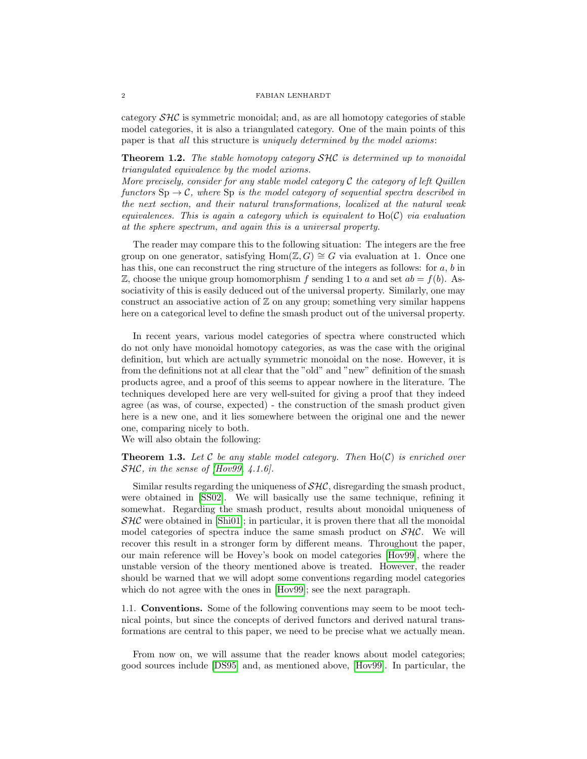category  $\mathcal{SHC}$  is symmetric monoidal; and, as are all homotopy categories of stable model categories, it is also a triangulated category. One of the main points of this paper is that all this structure is uniquely determined by the model axioms:

## **Theorem 1.2.** The stable homotopy category SHC is determined up to monoidal triangulated equivalence by the model axioms.

More precisely, consider for any stable model category  $\mathcal C$  the category of left Quillen functors  $\text{Sp} \to \mathcal{C}$ , where  $\text{Sp}$  is the model category of sequential spectra described in the next section, and their natural transformations, localized at the natural weak equivalences. This is again a category which is equivalent to  $H_0(\mathcal{C})$  via evaluation at the sphere spectrum, and again this is a universal property.

The reader may compare this to the following situation: The integers are the free group on one generator, satisfying Hom( $\mathbb{Z}, G$ ) ≅ G via evaluation at 1. Once one has this, one can reconstruct the ring structure of the integers as follows: for  $a, b$  in  $\mathbb{Z}$ , choose the unique group homomorphism f sending 1 to a and set  $ab = f(b)$ . Associativity of this is easily deduced out of the universal property. Similarly, one may construct an associative action of  $\mathbb Z$  on any group; something very similar happens here on a categorical level to define the smash product out of the universal property.

In recent years, various model categories of spectra where constructed which do not only have monoidal homotopy categories, as was the case with the original definition, but which are actually symmetric monoidal on the nose. However, it is from the definitions not at all clear that the "old" and "new" definition of the smash products agree, and a proof of this seems to appear nowhere in the literature. The techniques developed here are very well-suited for giving a proof that they indeed agree (as was, of course, expected) - the construction of the smash product given here is a new one, and it lies somewhere between the original one and the newer one, comparing nicely to both.

We will also obtain the following:

**Theorem 1.3.** Let C be any stable model category. Then  $Ho(\mathcal{C})$  is enriched over  $SHC$ , in the sense of  $Hov99$ , 4.1.6].

Similar results regarding the uniqueness of  $\mathcal{SHC}$ , disregarding the smash product, were obtained in [\[SS02\]](#page-37-3). We will basically use the same technique, refining it somewhat. Regarding the smash product, results about monoidal uniqueness of  $\mathcal{SHC}$  were obtained in [\[Shi01\]](#page-37-4); in particular, it is proven there that all the monoidal model categories of spectra induce the same smash product on  $\mathcal{SHC}$ . We will recover this result in a stronger form by different means. Throughout the paper, our main reference will be Hovey's book on model categories [\[Hov99\]](#page-37-2), where the unstable version of the theory mentioned above is treated. However, the reader should be warned that we will adopt some conventions regarding model categories which do not agree with the ones in [\[Hov99\]](#page-37-2); see the next paragraph.

1.1. Conventions. Some of the following conventions may seem to be moot technical points, but since the concepts of derived functors and derived natural transformations are central to this paper, we need to be precise what we actually mean.

From now on, we will assume that the reader knows about model categories; good sources include [\[DS95\]](#page-36-2) and, as mentioned above, [\[Hov99\]](#page-37-2). In particular, the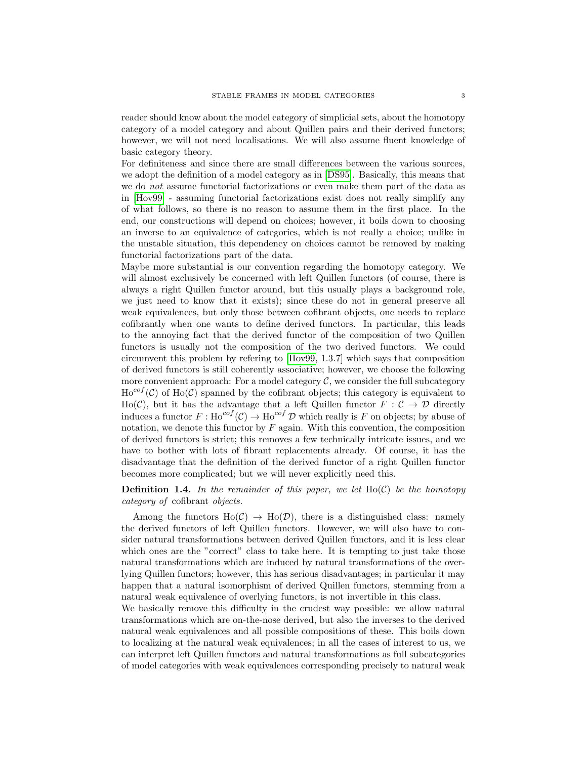reader should know about the model category of simplicial sets, about the homotopy category of a model category and about Quillen pairs and their derived functors; however, we will not need localisations. We will also assume fluent knowledge of basic category theory.

For definiteness and since there are small differences between the various sources, we adopt the definition of a model category as in [\[DS95\]](#page-36-2). Basically, this means that we do not assume functorial factorizations or even make them part of the data as in [\[Hov99\]](#page-37-2) - assuming functorial factorizations exist does not really simplify any of what follows, so there is no reason to assume them in the first place. In the end, our constructions will depend on choices; however, it boils down to choosing an inverse to an equivalence of categories, which is not really a choice; unlike in the unstable situation, this dependency on choices cannot be removed by making functorial factorizations part of the data.

Maybe more substantial is our convention regarding the homotopy category. We will almost exclusively be concerned with left Quillen functors (of course, there is always a right Quillen functor around, but this usually plays a background role, we just need to know that it exists); since these do not in general preserve all weak equivalences, but only those between cofibrant objects, one needs to replace cofibrantly when one wants to define derived functors. In particular, this leads to the annoying fact that the derived functor of the composition of two Quillen functors is usually not the composition of the two derived functors. We could circumvent this problem by refering to [\[Hov99,](#page-37-2) 1.3.7] which says that composition of derived functors is still coherently associative; however, we choose the following more convenient approach: For a model category  $\mathcal{C}$ , we consider the full subcategory  $\text{Ho}^{cof}(\mathcal{C})$  of  $\text{Ho}(\mathcal{C})$  spanned by the cofibrant objects; this category is equivalent to Ho(C), but it has the advantage that a left Quillen functor  $F : C \to \mathcal{D}$  directly induces a functor  $F : \text{Ho}^{cof}(\mathcal{C}) \to \text{Ho}^{cof}(\mathcal{D})$  which really is F on objects; by abuse of notation, we denote this functor by  $F$  again. With this convention, the composition of derived functors is strict; this removes a few technically intricate issues, and we have to bother with lots of fibrant replacements already. Of course, it has the disadvantage that the definition of the derived functor of a right Quillen functor becomes more complicated; but we will never explicitly need this.

# **Definition 1.4.** In the remainder of this paper, we let  $Ho(\mathcal{C})$  be the homotopy category of cofibrant objects.

Among the functors  $Ho(\mathcal{C}) \to Ho(\mathcal{D})$ , there is a distinguished class: namely the derived functors of left Quillen functors. However, we will also have to consider natural transformations between derived Quillen functors, and it is less clear which ones are the "correct" class to take here. It is tempting to just take those natural transformations which are induced by natural transformations of the overlying Quillen functors; however, this has serious disadvantages; in particular it may happen that a natural isomorphism of derived Quillen functors, stemming from a natural weak equivalence of overlying functors, is not invertible in this class.

We basically remove this difficulty in the crudest way possible: we allow natural transformations which are on-the-nose derived, but also the inverses to the derived natural weak equivalences and all possible compositions of these. This boils down to localizing at the natural weak equivalences; in all the cases of interest to us, we can interpret left Quillen functors and natural transformations as full subcategories of model categories with weak equivalences corresponding precisely to natural weak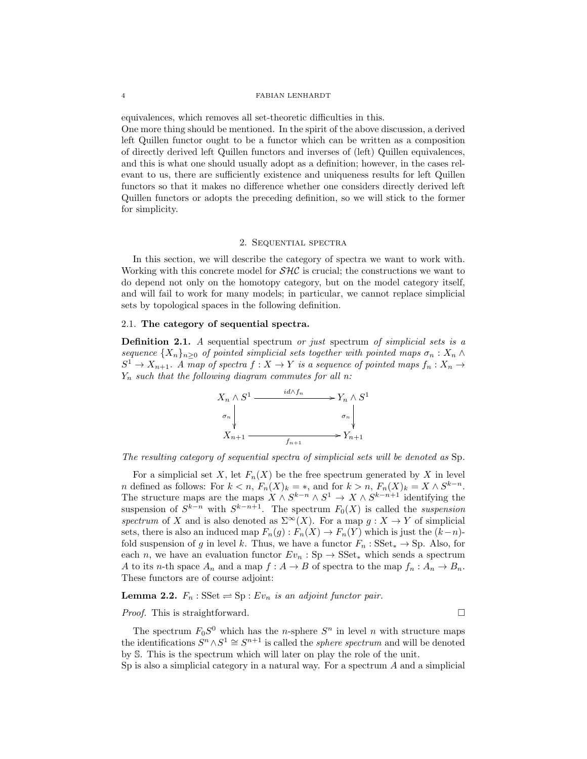equivalences, which removes all set-theoretic difficulties in this. One more thing should be mentioned. In the spirit of the above discussion, a derived left Quillen functor ought to be a functor which can be written as a composition of directly derived left Quillen functors and inverses of (left) Quillen equivalences, and this is what one should usually adopt as a definition; however, in the cases relevant to us, there are sufficiently existence and uniqueness results for left Quillen functors so that it makes no difference whether one considers directly derived left Quillen functors or adopts the preceding definition, so we will stick to the former for simplicity.

## 2. Sequential spectra

In this section, we will describe the category of spectra we want to work with. Working with this concrete model for  $\mathcal{SHC}$  is crucial; the constructions we want to do depend not only on the homotopy category, but on the model category itself, and will fail to work for many models; in particular, we cannot replace simplicial sets by topological spaces in the following definition.

## 2.1. The category of sequential spectra.

Definition 2.1. A sequential spectrum or just spectrum of simplicial sets is a sequence  $\{X_n\}_{n>0}$  of pointed simplicial sets together with pointed maps  $\sigma_n : X_n \wedge$  $S^1 \to X_{n+1}$ . A map of spectra  $f : X \to Y$  is a sequence of pointed maps  $f_n : X_n \to Y$  $Y_n$  such that the following diagram commutes for all n:



The resulting category of sequential spectra of simplicial sets will be denoted as Sp.

For a simplicial set X, let  $F_n(X)$  be the free spectrum generated by X in level *n* defined as follows: For  $k < n$ ,  $F_n(X)_k = *$ , and for  $k > n$ ,  $F_n(X)_k = X \wedge S^{k-n}$ . The structure maps are the maps  $X \wedge S^{k-n} \wedge S^1 \to X \wedge S^{k-n+1}$  identifying the suspension of  $S^{k-n}$  with  $S^{k-n+1}$ . The spectrum  $F_0(X)$  is called the *suspension* spectrum of X and is also denoted as  $\Sigma^{\infty}(X)$ . For a map  $g: X \to Y$  of simplicial sets, there is also an induced map  $F_n(g) : F_n(X) \to F_n(Y)$  which is just the  $(k-n)$ fold suspension of g in level k. Thus, we have a functor  $F_n$ : SSet<sub>\*</sub>  $\rightarrow$  Sp. Also, for each n, we have an evaluation functor  $Ev_n : Sp \to \text{SSet}_*$  which sends a spectrum A to its n-th space  $A_n$  and a map  $f : A \to B$  of spectra to the map  $f_n : A_n \to B_n$ . These functors are of course adjoint:

# **Lemma 2.2.**  $F_n$ : SSet  $\Rightarrow$  Sp :  $Ev_n$  is an adjoint functor pair.

## *Proof.* This is straightforward.  $\square$

The spectrum  $F_0S^0$  which has the *n*-sphere  $S^n$  in level *n* with structure maps the identifications  $S^n \wedge S^1 \cong S^{n+1}$  is called the *sphere spectrum* and will be denoted by S. This is the spectrum which will later on play the role of the unit.

Sp is also a simplicial category in a natural way. For a spectrum  $A$  and a simplicial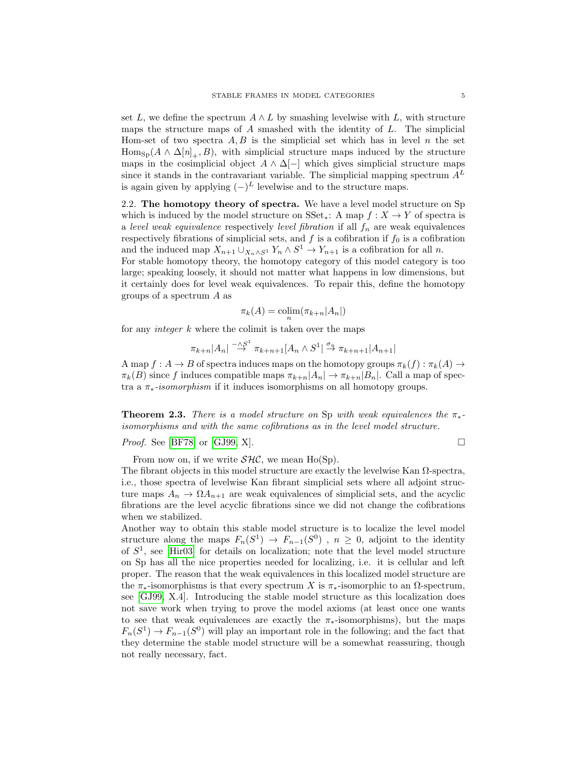set L, we define the spectrum  $A \wedge L$  by smashing levelwise with L, with structure maps the structure maps of  $A$  smashed with the identity of  $L$ . The simplicial Hom-set of two spectra  $A, B$  is the simplicial set which has in level n the set  $\text{Hom}_{\text{Sp}}(A \wedge \Delta[n]_+, B)$ , with simplicial structure maps induced by the structure maps in the cosimplicial object  $A \wedge \Delta[-]$  which gives simplicial structure maps since it stands in the contravariant variable. The simplicial mapping spectrum  $A<sup>L</sup>$ is again given by applying  $(-)^L$  levelwise and to the structure maps.

2.2. The homotopy theory of spectra. We have a level model structure on Sp which is induced by the model structure on  $SSet_*$ : A map  $f : X \to Y$  of spectra is a level weak equivalence respectively level fibration if all  $f_n$  are weak equivalences respectively fibrations of simplicial sets, and  $f$  is a cofibration if  $f_0$  is a cofibration and the induced map  $X_{n+1} \cup_{X_n \wedge S^1} Y_n \wedge S^1 \to Y_{n+1}$  is a cofibration for all n.

For stable homotopy theory, the homotopy category of this model category is too large; speaking loosely, it should not matter what happens in low dimensions, but it certainly does for level weak equivalences. To repair this, define the homotopy groups of a spectrum A as

$$
\pi_k(A) = \operatorname{colim}_n(\pi_{k+n}|A_n|)
$$

for any *integer*  $k$  where the colimit is taken over the maps

$$
\pi_{k+n}|A_n| \stackrel{-\wedge S^1}{\rightarrow} \pi_{k+n+1}|A_n \wedge S^1| \stackrel{\sigma_n}{\rightarrow} \pi_{k+n+1}|A_{n+1}|
$$

A map  $f: A \to B$  of spectra induces maps on the homotopy groups  $\pi_k(f): \pi_k(A) \to$  $\pi_k(B)$  since f induces compatible maps  $\pi_{k+n}|A_n| \to \pi_{k+n}|B_n|$ . Call a map of spectra a  $\pi_*$ -isomorphism if it induces isomorphisms on all homotopy groups.

**Theorem 2.3.** There is a model structure on Sp with weak equivalences the  $\pi_*$ isomorphisms and with the same cofibrations as in the level model structure.

*Proof.* See [\[BF78\]](#page-36-0) or [\[GJ99,](#page-37-5) X].

From now on, if we write  $\mathcal{SHC}$ , we mean Ho(Sp).

The fibrant objects in this model structure are exactly the levelwise Kan  $\Omega$ -spectra, i.e., those spectra of levelwise Kan fibrant simplicial sets where all adjoint structure maps  $A_n \to \Omega A_{n+1}$  are weak equivalences of simplicial sets, and the acyclic fibrations are the level acyclic fibrations since we did not change the cofibrations when we stabilized.

Another way to obtain this stable model structure is to localize the level model structure along the maps  $F_n(S^1) \to F_{n-1}(S^0)$ ,  $n \geq 0$ , adjoint to the identity of  $S<sup>1</sup>$ , see [\[Hir03\]](#page-37-6) for details on localization; note that the level model structure on Sp has all the nice properties needed for localizing, i.e. it is cellular and left proper. The reason that the weak equivalences in this localized model structure are the  $\pi_*$ -isomorphisms is that every spectrum X is  $\pi_*$ -isomorphic to an  $\Omega$ -spectrum, see [\[GJ99,](#page-37-5) X.4]. Introducing the stable model structure as this localization does not save work when trying to prove the model axioms (at least once one wants to see that weak equivalences are exactly the  $\pi_*$ -isomorphisms), but the maps  $F_n(S^1) \to F_{n-1}(S^0)$  will play an important role in the following; and the fact that they determine the stable model structure will be a somewhat reassuring, though not really necessary, fact.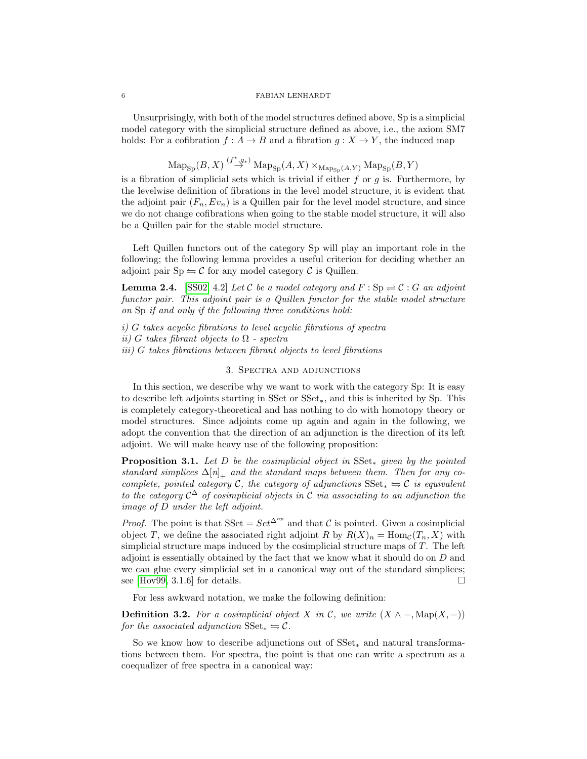Unsurprisingly, with both of the model structures defined above, Sp is a simplicial model category with the simplicial structure defined as above, i.e., the axiom SM7 holds: For a cofibration  $f : A \to B$  and a fibration  $g : X \to Y$ , the induced map

$$
\operatorname{Map}_{\operatorname{Sp}}(B,X)\stackrel{(f^*,g_*)}{\to}\operatorname{Map}_{\operatorname{Sp}}(A,X)\times_{\operatorname{Map}_{\operatorname{Sp}}(A,Y)}\operatorname{Map}_{\operatorname{Sp}}(B,Y)
$$

is a fibration of simplicial sets which is trivial if either  $f$  or  $g$  is. Furthermore, by the levelwise definition of fibrations in the level model structure, it is evident that the adjoint pair  $(F_n, Ev_n)$  is a Quillen pair for the level model structure, and since we do not change cofibrations when going to the stable model structure, it will also be a Quillen pair for the stable model structure.

Left Quillen functors out of the category Sp will play an important role in the following; the following lemma provides a useful criterion for deciding whether an adjoint pair  $Sp \rightleftharpoons \mathcal{C}$  for any model category  $\mathcal{C}$  is Quillen.

<span id="page-5-0"></span>**Lemma 2.4.** [\[SS02,](#page-37-3) 4.2] Let C be a model category and  $F : Sp \rightleftharpoons C : G$  an adjoint functor pair. This adjoint pair is a Quillen functor for the stable model structure on Sp if and only if the following three conditions hold:

i) G takes acyclic fibrations to level acyclic fibrations of spectra ii) G takes fibrant objects to  $\Omega$  - spectra iii) G takes fibrations between fibrant objects to level fibrations

## 3. Spectra and adjunctions

In this section, we describe why we want to work with the category Sp: It is easy to describe left adjoints starting in SSet or SSet∗, and this is inherited by Sp. This is completely category-theoretical and has nothing to do with homotopy theory or model structures. Since adjoints come up again and again in the following, we adopt the convention that the direction of an adjunction is the direction of its left adjoint. We will make heavy use of the following proposition:

**Proposition 3.1.** Let D be the cosimplicial object in  $SSet_*$  given by the pointed standard simplices  $\Delta[n]_+$  and the standard maps between them. Then for any cocomplete, pointed category C, the category of adjunctions  $SSet_* = C$  is equivalent to the category  $\mathcal{C}^{\Delta}$  of cosimplicial objects in C via associating to an adjunction the image of D under the left adjoint.

*Proof.* The point is that SSet =  $Set^{\Delta^{op}}$  and that C is pointed. Given a cosimplicial object T, we define the associated right adjoint R by  $R(X)_n = \text{Hom}_{\mathcal{C}}(T_n, X)$  with simplicial structure maps induced by the cosimplicial structure maps of T. The left adjoint is essentially obtained by the fact that we know what it should do on D and we can glue every simplicial set in a canonical way out of the standard simplices; see [\[Hov99,](#page-37-2) 3.1.6] for details.  $\square$ 

For less awkward notation, we make the following definition:

**Definition 3.2.** For a cosimplicial object X in C, we write  $(X \wedge -, \text{Map}(X, -))$ for the associated adjunction  $SSet_* \rightleftharpoons \mathcal{C}$ .

So we know how to describe adjunctions out of SSet<sup>∗</sup> and natural transformations between them. For spectra, the point is that one can write a spectrum as a coequalizer of free spectra in a canonical way: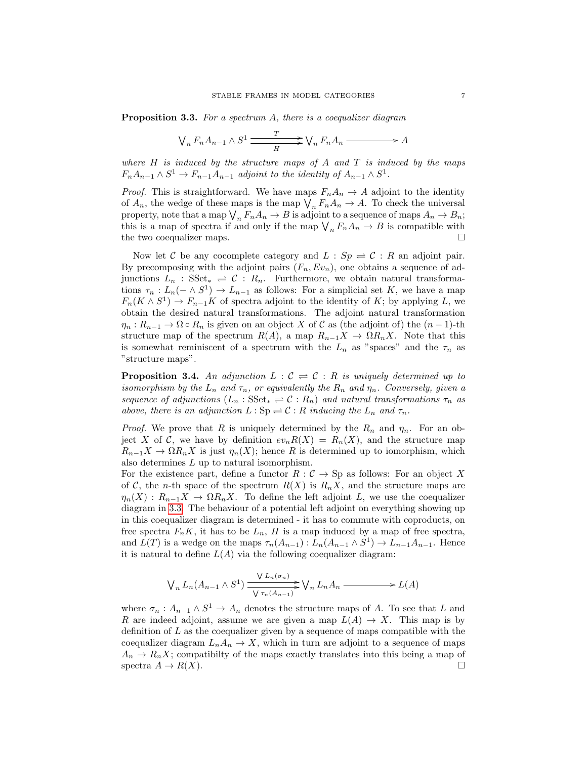<span id="page-6-0"></span>**Proposition 3.3.** For a spectrum A, there is a coequalizer diagram

$$
\bigvee_n F_n A_{n-1} \wedge S^1 \xrightarrow{T} \bigvee_n F_n A_n \xrightarrow{}
$$

where  $H$  is induced by the structure maps of  $A$  and  $T$  is induced by the maps  $F_nA_{n-1}\wedge S^1\to F_{n-1}A_{n-1}$  adjoint to the identity of  $A_{n-1}\wedge S^1$ .

*Proof.* This is straightforward. We have maps  $F_n A_n \to A$  adjoint to the identity of  $A_n$ , the wedge of these maps is the map  $\bigvee_n F_nA_n \to A$ . To check the universal property, note that a map  $\bigvee_n F_n A_n \to B$  is adjoint to a sequence of maps  $A_n \to B_n$ ; this is a map of spectra if and only if the map  $\bigvee_n F_n A_n \to B$  is compatible with the two coequalizer maps.

Now let C be any cocomplete category and  $L : Sp \rightleftharpoons C : R$  an adjoint pair. By precomposing with the adjoint pairs  $(F_n, Ev_n)$ , one obtains a sequence of adjunctions  $L_n$ : SSet<sub>\*</sub>  $\rightleftharpoons$  C :  $R_n$ . Furthermore, we obtain natural transformations  $\tau_n: L_n(-\wedge S^1) \to L_{n-1}$  as follows: For a simplicial set K, we have a map  $F_n(K \wedge S^1) \to F_{n-1}K$  of spectra adjoint to the identity of K; by applying L, we obtain the desired natural transformations. The adjoint natural transformation  $\eta_n: R_{n-1} \to \Omega \circ R_n$  is given on an object X of C as (the adjoint of) the  $(n-1)$ -th structure map of the spectrum  $R(A)$ , a map  $R_{n-1}X \to \Omega R_nX$ . Note that this is somewhat reminiscent of a spectrum with the  $L_n$  as "spaces" and the  $\tau_n$  as "structure maps".

**Proposition 3.4.** An adjunction  $L : \mathcal{C} \rightleftharpoons \mathcal{C} : R$  is uniquely determined up to isomorphism by the  $L_n$  and  $\tau_n$ , or equivalently the  $R_n$  and  $\eta_n$ . Conversely, given a sequence of adjunctions  $(L_n : \text{SSet}_* \rightleftharpoons \mathcal{C} : R_n)$  and natural transformations  $\tau_n$  as above, there is an adjunction  $L : Sp \rightleftharpoons \mathcal{C} : R$  inducing the  $L_n$  and  $\tau_n$ .

*Proof.* We prove that R is uniquely determined by the  $R_n$  and  $\eta_n$ . For an object X of C, we have by definition  $ev_n R(X) = R_n(X)$ , and the structure map  $R_{n-1}X \to \Omega R_nX$  is just  $\eta_n(X)$ ; hence R is determined up to iomorphism, which also determines L up to natural isomorphism.

For the existence part, define a functor  $R : C \to \text{Sp}$  as follows: For an object X of C, the n-th space of the spectrum  $R(X)$  is  $R_nX$ , and the structure maps are  $\eta_n(X) : R_{n-1}X \to \Omega R_nX$ . To define the left adjoint L, we use the coequalizer diagram in [3.3.](#page-6-0) The behaviour of a potential left adjoint on everything showing up in this coequalizer diagram is determined - it has to commute with coproducts, on free spectra  $F_nK$ , it has to be  $L_n$ , H is a map induced by a map of free spectra, and  $L(T)$  is a wedge on the maps  $\tau_n(A_{n-1}): L_n(A_{n-1} \wedge S^1) \to L_{n-1}A_{n-1}$ . Hence it is natural to define  $L(A)$  via the following coequalizer diagram:

$$
\bigvee_n L_n(A_{n-1} \wedge S^1) \xrightarrow{\bigvee L_n(\sigma_n)} \bigvee_n L_n A_n \xrightarrow{\qquad} L(A)
$$

where  $\sigma_n: A_{n-1} \wedge S^1 \to A_n$  denotes the structure maps of A. To see that L and R are indeed adjoint, assume we are given a map  $L(A) \to X$ . This map is by definition of  $L$  as the coequalizer given by a sequence of maps compatible with the coequalizer diagram  $L_nA_n \to X$ , which in turn are adjoint to a sequence of maps  $A_n \to R_n X$ ; compatibilty of the maps exactly translates into this being a map of spectra  $A \to R(X)$ .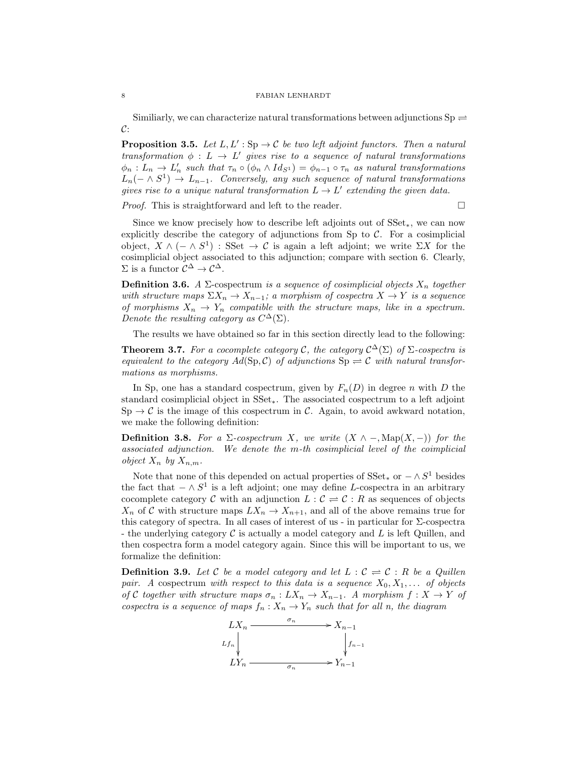Similiarly, we can characterize natural transformations between adjunctions  $Sp \rightleftharpoons$  $\mathcal{C}$ :

**Proposition 3.5.** Let  $L, L' : Sp \to \mathcal{C}$  be two left adjoint functors. Then a natural transformation  $\phi : L \to L'$  gives rise to a sequence of natural transformations  $\phi_n: L_n \to L'_n$  such that  $\tau_n \circ (\phi_n \wedge Id_{S^1}) = \phi_{n-1} \circ \tau_n$  as natural transformations  $L_n(-\wedge S^1) \rightarrow L_{n-1}$ . Conversely, any such sequence of natural transformations gives rise to a unique natural transformation  $L \to L'$  extending the given data.

*Proof.* This is straightforward and left to the reader.  $\Box$ 

Since we know precisely how to describe left adjoints out of SSet∗, we can now explicitly describe the category of adjunctions from Sp to  $C$ . For a cosimplicial object,  $X \wedge (- \wedge S^1)$ : SSet  $\rightarrow C$  is again a left adjoint; we write  $\Sigma X$  for the cosimplicial object associated to this adjunction; compare with section 6. Clearly,  $\Sigma$  is a functor  $\mathcal{C}^{\Delta} \to \mathcal{C}^{\Delta}$ .

**Definition 3.6.** A Σ-cospectrum is a sequence of cosimplicial objects  $X_n$  together with structure maps  $\Sigma X_n \to X_{n-1}$ ; a morphism of cospectra  $X \to Y$  is a sequence of morphisms  $X_n \to Y_n$  compatible with the structure maps, like in a spectrum. Denote the resulting category as  $C^{\Delta}(\Sigma)$ .

The results we have obtained so far in this section directly lead to the following:

**Theorem 3.7.** For a cocomplete category C, the category  $C^{\Delta}(\Sigma)$  of  $\Sigma$ -cospectra is equivalent to the category  $Ad(Sp, C)$  of adjunctions  $Sp \rightleftharpoons C$  with natural transformations as morphisms.

In Sp, one has a standard cospectrum, given by  $F_n(D)$  in degree n with D the standard cosimplicial object in SSet∗. The associated cospectrum to a left adjoint  $\text{Sp} \to \mathcal{C}$  is the image of this cospectrum in C. Again, to avoid awkward notation, we make the following definition:

**Definition 3.8.** For a  $\Sigma$ -cospectrum X, we write  $(X \wedge -, \text{Map}(X, -))$  for the associated adjunction. We denote the m-th cosimplicial level of the coimplicial object  $X_n$  by  $X_{n,m}$ .

Note that none of this depended on actual properties of  $SSet_*$  or  $-\wedge S^1$  besides the fact that  $-\wedge S^1$  is a left adjoint; one may define L-cospectra in an arbitrary cocomplete category C with an adjunction  $L : \mathcal{C} \rightleftharpoons \mathcal{C} : R$  as sequences of objects  $X_n$  of C with structure maps  $LX_n \to X_{n+1}$ , and all of the above remains true for this category of spectra. In all cases of interest of us - in particular for Σ-cospectra - the underlying category  $\mathcal C$  is actually a model category and  $L$  is left Quillen, and then cospectra form a model category again. Since this will be important to us, we formalize the definition:

**Definition 3.9.** Let C be a model category and let  $L : \mathcal{C} \rightleftharpoons \mathcal{C} : R$  be a Quillen pair. A cospectrum with respect to this data is a sequence  $X_0, X_1, \ldots$  of objects of C together with structure maps  $\sigma_n: LX_n \to X_{n-1}$ . A morphism  $f: X \to Y$  of cospectra is a sequence of maps  $f_n: X_n \to Y_n$  such that for all n, the diagram

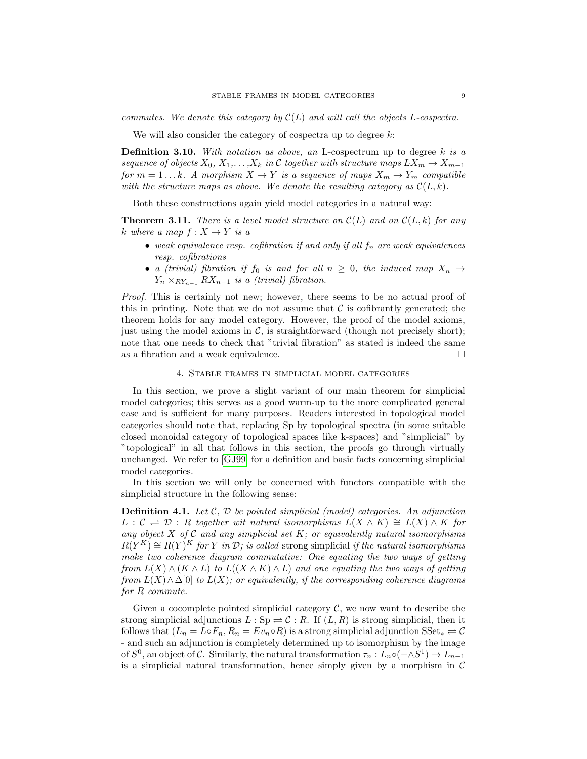commutes. We denote this category by  $\mathcal{C}(L)$  and will call the objects L-cospectra.

We will also consider the category of cospectra up to degree  $k$ :

**Definition 3.10.** With notation as above, an L-cospectrum up to degree  $k$  is a sequence of objects  $X_0, X_1, \ldots, X_k$  in C together with structure maps  $LX_m \to X_{m-1}$ for  $m = 1...k$ . A morphism  $X \to Y$  is a sequence of maps  $X_m \to Y_m$  compatible with the structure maps as above. We denote the resulting category as  $\mathcal{C}(L, k)$ .

Both these constructions again yield model categories in a natural way:

<span id="page-8-0"></span>**Theorem 3.11.** There is a level model structure on  $\mathcal{C}(L)$  and on  $\mathcal{C}(L, k)$  for any k where a map  $f: X \to Y$  is a

- weak equivalence resp. cofibration if and only if all  $f_n$  are weak equivalences resp. cofibrations
- a (trivial) fibration if  $f_0$  is and for all  $n \geq 0$ , the induced map  $X_n \to$  $Y_n \times_{RY_{n-1}} RX_{n-1}$  is a (trivial) fibration.

Proof. This is certainly not new; however, there seems to be no actual proof of this in printing. Note that we do not assume that  $\mathcal C$  is cofibrantly generated; the theorem holds for any model category. However, the proof of the model axioms, just using the model axioms in  $\mathcal{C}$ , is straightforward (though not precisely short); note that one needs to check that "trivial fibration" as stated is indeed the same as a fibration and a weak equivalence.  $\Box$ 

## 4. Stable frames in simplicial model categories

In this section, we prove a slight variant of our main theorem for simplicial model categories; this serves as a good warm-up to the more complicated general case and is sufficient for many purposes. Readers interested in topological model categories should note that, replacing Sp by topological spectra (in some suitable closed monoidal category of topological spaces like k-spaces) and "simplicial" by "topological" in all that follows in this section, the proofs go through virtually unchanged. We refer to [\[GJ99\]](#page-37-5) for a definition and basic facts concerning simplicial model categories.

In this section we will only be concerned with functors compatible with the simplicial structure in the following sense:

**Definition 4.1.** Let  $C$ ,  $D$  be pointed simplicial (model) categories. An adjunction  $L : \mathcal{C} \implies \mathcal{D} : R$  together wit natural isomorphisms  $L(X \wedge K) \cong L(X) \wedge K$  for any object X of C and any simplicial set K; or equivalently natural isomorphisms  $R(Y^K) \cong R(Y)^K$  for Y in D; is called strong simplicial if the natural isomorphisms make two coherence diagram commutative: One equating the two ways of getting from  $L(X) \wedge (K \wedge L)$  to  $L((X \wedge K) \wedge L)$  and one equating the two ways of getting from  $L(X) \wedge \Delta[0]$  to  $L(X)$ ; or equivalently, if the corresponding coherence diagrams for R commute.

Given a cocomplete pointed simplicial category  $\mathcal{C}$ , we now want to describe the strong simplicial adjunctions  $L : Sp \to \mathcal{C} : R$ . If  $(L, R)$  is strong simplicial, then it follows that  $(L_n = L \circ F_n, R_n = Ev_n \circ R)$  is a strong simplicial adjunction  $SSet_* \rightleftharpoons \mathcal{C}$ - and such an adjunction is completely determined up to isomorphism by the image of  $S^0$ , an object of C. Similarly, the natural transformation  $\tau_n: L_n \circ (-\wedge S^1) \to L_{n-1}$ is a simplicial natural transformation, hence simply given by a morphism in  $\mathcal C$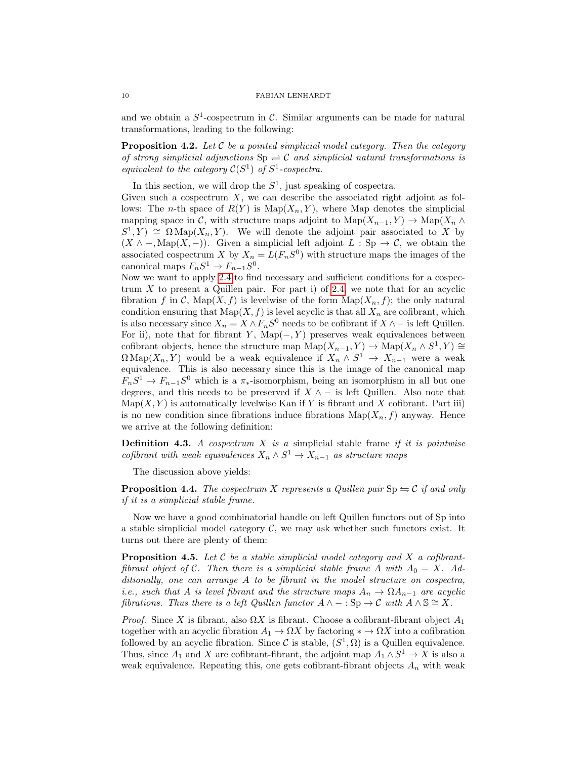and we obtain a  $S^1$ -cospectrum in C. Similar arguments can be made for natural transformations, leading to the following:

**Proposition 4.2.** Let C be a pointed simplicial model category. Then the category of strong simplicial adjunctions  $Sp \rightleftharpoons C$  and simplicial natural transformations is equivalent to the category  $C(S^1)$  of  $S^1$ -cospectra.

In this section, we will drop the  $S^1$ , just speaking of cospectra.

Given such a cospectrum  $X$ , we can describe the associated right adjoint as follows: The *n*-th space of  $R(Y)$  is  $\text{Map}(X_n, Y)$ , where Map denotes the simplicial mapping space in C, with structure maps adjoint to  $\text{Map}(X_{n-1}, Y) \to \text{Map}(X_n \wedge Y)$  $S^1, Y$   $\cong$   $\Omega \text{Map}(X_n, Y)$ . We will denote the adjoint pair associated to X by  $(X \wedge -$ , Map $(X, -)$ ). Given a simplicial left adjoint  $L : Sp \to \mathcal{C}$ , we obtain the associated cospectrum X by  $X_n = L(F_nS^0)$  with structure maps the images of the canonical maps  $F_nS^1 \to F_{n-1}S^0$ .

Now we want to apply [2.4](#page-5-0) to find necessary and sufficient conditions for a cospectrum  $X$  to present a Quillen pair. For part i) of [2.4,](#page-5-0) we note that for an acyclic fibration f in C, Map $(X, f)$  is levelwise of the form  $\text{Map}(X_n, f)$ ; the only natural condition ensuring that  $\text{Map}(X, f)$  is level acyclic is that all  $X_n$  are cofibrant, which is also necessary since  $X_n = X \wedge F_nS^0$  needs to be cofibrant if  $X \wedge -$  is left Quillen. For ii), note that for fibrant Y, Map $(-, Y)$  preserves weak equivalences between cofibrant objects, hence the structure map  $\text{Map}(X_{n-1}, Y) \to \text{Map}(X_n \wedge S^1, Y) \cong$  $\Omega \text{Map}(X_n, Y)$  would be a weak equivalence if  $X_n \wedge S^1 \rightarrow X_{n-1}$  were a weak equivalence. This is also necessary since this is the image of the canonical map  $F_nS^1 \to F_{n-1}S^0$  which is a  $\pi_*$ -isomorphism, being an isomorphism in all but one degrees, and this needs to be preserved if  $X \wedge -$  is left Quillen. Also note that  $\mathrm{Map}(X, Y)$  is automatically levelwise Kan if Y is fibrant and X cofibrant. Part iii) is no new condition since fibrations induce fibrations  $\text{Map}(X_n, f)$  anyway. Hence we arrive at the following definition:

**Definition 4.3.** A cospectrum  $X$  is a simplicial stable frame if it is pointwise cofibrant with weak equivalences  $X_n \wedge S^1 \to X_{n-1}$  as structure maps

The discussion above yields:

<span id="page-9-1"></span>**Proposition 4.4.** The cospectrum X represents a Quillen pair  $Sp \rightleftharpoons C$  if and only if it is a simplicial stable frame.

Now we have a good combinatorial handle on left Quillen functors out of Sp into a stable simplicial model category  $\mathcal{C}$ , we may ask whether such functors exist. It turns out there are plenty of them:

<span id="page-9-0"></span>**Proposition 4.5.** Let C be a stable simplicial model category and X a cofibrantfibrant object of C. Then there is a simplicial stable frame A with  $A_0 = X$ . Additionally, one can arrange A to be fibrant in the model structure on cospectra, i.e., such that A is level fibrant and the structure maps  $A_n \to \Omega A_{n-1}$  are acyclic fibrations. Thus there is a left Quillen functor  $A \wedge - : \text{Sp} \to \mathcal{C}$  with  $A \wedge \mathbb{S} \cong X$ .

*Proof.* Since X is fibrant, also  $\Omega X$  is fibrant. Choose a cofibrant-fibrant object  $A_1$ together with an acyclic fibration  $A_1 \to \Omega X$  by factoring  $* \to \Omega X$  into a cofibration followed by an acyclic fibration. Since C is stable,  $(S^1, \Omega)$  is a Quillen equivalence. Thus, since  $A_1$  and X are cofibrant-fibrant, the adjoint map  $A_1 \wedge S^1 \to X$  is also a weak equivalence. Repeating this, one gets cofibrant-fibrant objects  $A_n$  with weak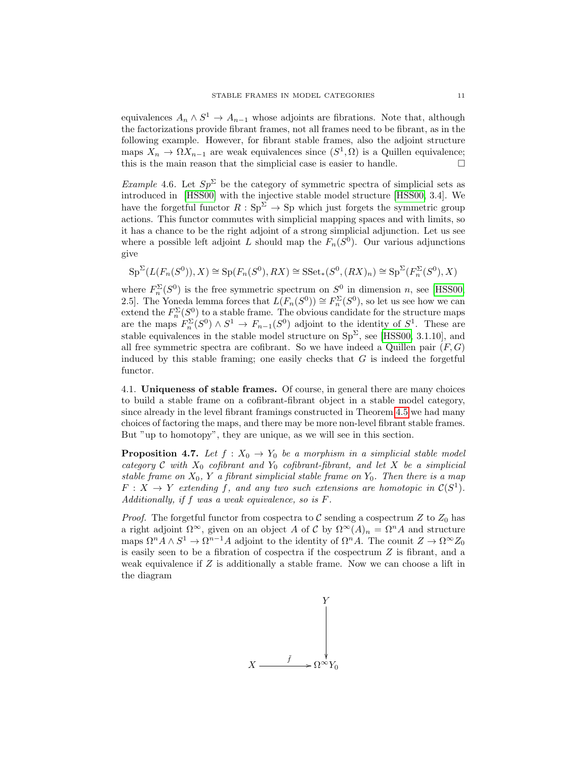equivalences  $A_n \wedge S^1 \to A_{n-1}$  whose adjoints are fibrations. Note that, although the factorizations provide fibrant frames, not all frames need to be fibrant, as in the following example. However, for fibrant stable frames, also the adjoint structure maps  $X_n \to \Omega X_{n-1}$  are weak equivalences since  $(S^1, \Omega)$  is a Quillen equivalence; this is the main reason that the simplicial case is easier to handle.  $\Box$ 

Example 4.6. Let  $Sp^{\Sigma}$  be the category of symmetric spectra of simplicial sets as introduced in [\[HSS00\]](#page-37-0) with the injective stable model structure [\[HSS00,](#page-37-0) 3.4]. We have the forgetful functor  $R : Sp^{\Sigma} \to Sp$  which just forgets the symmetric group actions. This functor commutes with simplicial mapping spaces and with limits, so it has a chance to be the right adjoint of a strong simplicial adjunction. Let us see where a possible left adjoint L should map the  $F_n(S^0)$ . Our various adjunctions give

$$
\mathrm{Sp}^{\Sigma}(L(F_n(S^0)),X)\cong\mathrm{Sp}(F_n(S^0),RX)\cong\mathrm{SSet}_*(S^0,(RX)_n)\cong\mathrm{Sp}^{\Sigma}(F_n^{\Sigma}(S^0),X)
$$

where  $F_n^{\Sigma}(S^0)$  is the free symmetric spectrum on  $S^0$  in dimension n, see [\[HSS00,](#page-37-0) 2.5. The Yoneda lemma forces that  $\widehat{L(F_n(S^0))} \cong F_n^{\Sigma}(S^0)$ , so let us see how we can extend the  $F_n^{\Sigma}(S^0)$  to a stable frame. The obvious candidate for the structure maps are the maps  $F_n^{\Sigma}(S^0) \wedge S^1 \to F_{n-1}(S^0)$  adjoint to the identity of  $S^1$ . These are stable equivalences in the stable model structure on  $Sp^{\Sigma}$ , see [\[HSS00,](#page-37-0) 3.1.10], and all free symmetric spectra are cofibrant. So we have indeed a Quillen pair  $(F, G)$ induced by this stable framing; one easily checks that  $G$  is indeed the forgetful functor.

4.1. Uniqueness of stable frames. Of course, in general there are many choices to build a stable frame on a cofibrant-fibrant object in a stable model category, since already in the level fibrant framings constructed in Theorem [4.5](#page-9-0) we had many choices of factoring the maps, and there may be more non-level fibrant stable frames. But "up to homotopy", they are unique, as we will see in this section.

<span id="page-10-0"></span>**Proposition 4.7.** Let  $f: X_0 \to Y_0$  be a morphism in a simplicial stable model category  $C$  with  $X_0$  cofibrant and  $Y_0$  cofibrant-fibrant, and let  $X$  be a simplicial stable frame on  $X_0$ , Y a fibrant simplicial stable frame on  $Y_0$ . Then there is a map  $F: X \to Y$  extending f, and any two such extensions are homotopic in  $\mathcal{C}(S^1)$ . Additionally, if f was a weak equivalence, so is F.

*Proof.* The forgetful functor from cospectra to  $C$  sending a cospectrum  $Z$  to  $Z_0$  has a right adjoint  $\Omega^{\infty}$ , given on an object A of C by  $\Omega^{\infty}(A)_n = \Omega^n A$  and structure maps  $\Omega^n A \wedge S^1 \to \Omega^{n-1} A$  adjoint to the identity of  $\Omega^n A$ . The counit  $Z \to \Omega^\infty Z_0$ is easily seen to be a fibration of cospectra if the cospectrum Z is fibrant, and a weak equivalence if Z is additionally a stable frame. Now we can choose a lift in the diagram

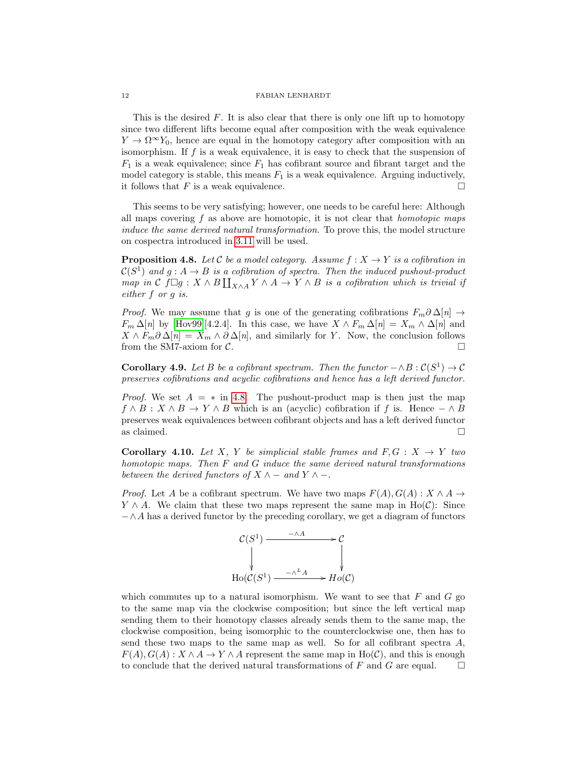This is the desired  $F$ . It is also clear that there is only one lift up to homotopy since two different lifts become equal after composition with the weak equivalence  $Y \to \Omega^{\infty} Y_0$ , hence are equal in the homotopy category after composition with an isomorphism. If  $f$  is a weak equivalence, it is easy to check that the suspension of  $F_1$  is a weak equivalence; since  $F_1$  has cofibrant source and fibrant target and the model category is stable, this means  $F_1$  is a weak equivalence. Arguing inductively, it follows that F is a weak equivalence.  $\Box$ 

This seems to be very satisfying; however, one needs to be careful here: Although all maps covering  $f$  as above are homotopic, it is not clear that *homotopic maps* induce the same derived natural transformation. To prove this, the model structure on cospectra introduced in [3.11](#page-8-0) will be used.

<span id="page-11-0"></span>**Proposition 4.8.** Let C be a model category. Assume  $f : X \rightarrow Y$  is a cofibration in  $\mathcal{C}(S^1)$  and  $g: A \to B$  is a cofibration of spectra. Then the induced pushout-product map in  $\mathcal C$  f $\Box g : X \wedge B \coprod_{X \wedge A} Y \wedge A \to Y \wedge B$  is a cofibration which is trivial if either f or g is.

*Proof.* We may assume that g is one of the generating cofibrations  $F_m \partial \Delta[n] \rightarrow$  $F_m \Delta[n]$  by [\[Hov99\]](#page-37-2)[4.2.4]. In this case, we have  $X \wedge F_m \Delta[n] = X_m \wedge \Delta[n]$  and  $X \wedge F_m \partial \Delta[n] = X_m \wedge \partial \Delta[n]$ , and similarly for Y. Now, the conclusion follows from the SM7-axiom for  $C$ .

**Corollary 4.9.** Let B be a cofibrant spectrum. Then the functor  $-\wedge B : C(S^1) \to C$ preserves cofibrations and acyclic cofibrations and hence has a left derived functor.

*Proof.* We set  $A = *$  in [4.8.](#page-11-0) The pushout-product map is then just the map  $f \wedge B : X \wedge B \to Y \wedge B$  which is an (acyclic) cofibration if f is. Hence  $-\wedge B$ preserves weak equivalences between cofibrant objects and has a left derived functor as claimed.  $\Box$ 

**Corollary 4.10.** Let X, Y be simplicial stable frames and  $F, G: X \rightarrow Y$  two homotopic maps. Then  $F$  and  $G$  induce the same derived natural transformations between the derived functors of  $X \wedge -$  and  $Y \wedge -$ .

*Proof.* Let A be a cofibrant spectrum. We have two maps  $F(A), G(A) : X \wedge A \rightarrow$  $Y \wedge A$ . We claim that these two maps represent the same map in Ho(C): Since  $-\wedge A$  has a derived functor by the preceding corollary, we get a diagram of functors



which commutes up to a natural isomorphism. We want to see that  $F$  and  $G$  go to the same map via the clockwise composition; but since the left vertical map sending them to their homotopy classes already sends them to the same map, the clockwise composition, being isomorphic to the counterclockwise one, then has to send these two maps to the same map as well. So for all cofibrant spectra  $A$ ,  $F(A), G(A): X \wedge A \rightarrow Y \wedge A$  represent the same map in Ho(C), and this is enough to conclude that the derived natural transformations of F and G are equal.  $\square$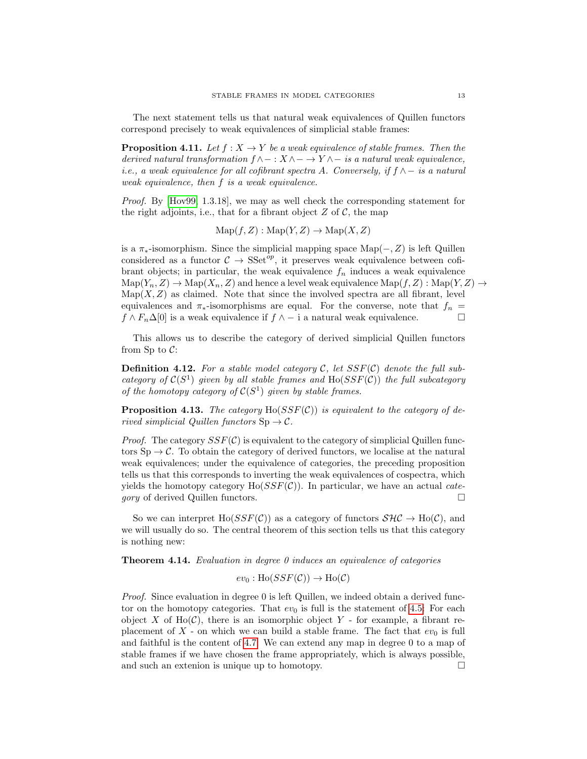The next statement tells us that natural weak equivalences of Quillen functors correspond precisely to weak equivalences of simplicial stable frames:

**Proposition 4.11.** Let  $f : X \to Y$  be a weak equivalence of stable frames. Then the derived natural transformation  $f \wedge - : X \wedge - \to Y \wedge -$  is a natural weak equivalence, i.e., a weak equivalence for all cofibrant spectra A. Conversely, if  $f \wedge -i s$  a natural weak equivalence, then f is a weak equivalence.

Proof. By [\[Hov99,](#page-37-2) 1.3.18], we may as well check the corresponding statement for the right adjoints, i.e., that for a fibrant object  $Z$  of  $C$ , the map

$$
Map(f, Z) : Map(Y, Z) \to Map(X, Z)
$$

is a  $\pi_*$ -isomorphism. Since the simplicial mapping space Map( $-, Z$ ) is left Quillen considered as a functor  $C \rightarrow \text{SSet}^{op}$ , it preserves weak equivalence between cofibrant objects; in particular, the weak equivalence  $f_n$  induces a weak equivalence  $\mathrm{Map}(Y_n, Z) \to \mathrm{Map}(X_n, Z)$  and hence a level weak equivalence  $\mathrm{Map}(f, Z) : \mathrm{Map}(Y, Z) \to$  $\text{Map}(X, Z)$  as claimed. Note that since the involved spectra are all fibrant, level equivalences and  $\pi_*$ -isomorphisms are equal. For the converse, note that  $f_n =$  $f \wedge F_n \Delta[0]$  is a weak equivalence if  $f \wedge -i$  a natural weak equivalence.

This allows us to describe the category of derived simplicial Quillen functors from Sp to  $C$ :

**Definition 4.12.** For a stable model category  $C$ , let  $SSF(C)$  denote the full subcategory of  $C(S^1)$  given by all stable frames and  $H_0(SSF(\mathcal{C}))$  the full subcategory of the homotopy category of  $C(S^1)$  given by stable frames.

**Proposition 4.13.** The category  $Ho(SSF(\mathcal{C}))$  is equivalent to the category of derived simplicial Quillen functors  $\text{Sp} \to \mathcal{C}$ .

*Proof.* The category  $SSF(\mathcal{C})$  is equivalent to the category of simplicial Quillen functors  $\text{Sp} \to \mathcal{C}$ . To obtain the category of derived functors, we localise at the natural weak equivalences; under the equivalence of categories, the preceding proposition tells us that this corresponds to inverting the weak equivalences of cospectra, which yields the homotopy category  $Ho(SSF(\mathcal{C}))$ . In particular, we have an actual *category* of derived Quillen functors.

So we can interpret Ho( $SSF(\mathcal{C})$ ) as a category of functors  $\mathcal{SHC} \to Ho(\mathcal{C})$ , and we will usually do so. The central theorem of this section tells us that this category is nothing new:

**Theorem 4.14.** Evaluation in degree 0 induces an equivalence of categories

 $ev_0 : Ho(SSF(\mathcal{C})) \to Ho(\mathcal{C})$ 

Proof. Since evaluation in degree 0 is left Quillen, we indeed obtain a derived functor on the homotopy categories. That  $ev_0$  is full is the statement of [4.5:](#page-9-0) For each object X of  $Ho(\mathcal{C})$ , there is an isomorphic object Y - for example, a fibrant replacement of  $X$  - on which we can build a stable frame. The fact that  $ev_0$  is full and faithful is the content of [4.7:](#page-10-0) We can extend any map in degree 0 to a map of stable frames if we have chosen the frame appropriately, which is always possible, and such an extenion is unique up to homotopy.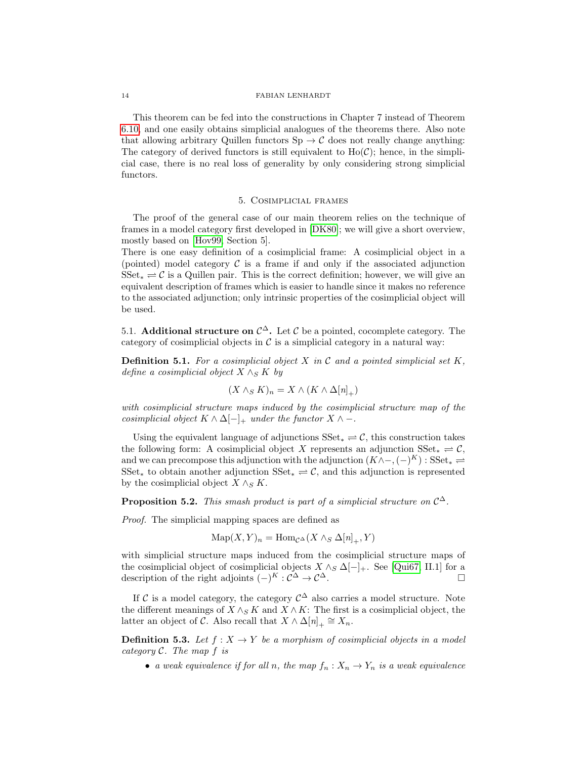This theorem can be fed into the constructions in Chapter 7 instead of Theorem [6.10,](#page-22-0) and one easily obtains simplicial analogues of the theorems there. Also note that allowing arbitrary Quillen functors  $\text{Sp} \to \mathcal{C}$  does not really change anything: The category of derived functors is still equivalent to  $Ho(\mathcal{C})$ ; hence, in the simplicial case, there is no real loss of generality by only considering strong simplicial functors.

## 5. Cosimplicial frames

The proof of the general case of our main theorem relies on the technique of frames in a model category first developed in [\[DK80\]](#page-36-3); we will give a short overview, mostly based on [\[Hov99,](#page-37-2) Section 5].

There is one easy definition of a cosimplicial frame: A cosimplicial object in a (pointed) model category  $\mathcal C$  is a frame if and only if the associated adjunction  $SSet_* \rightleftharpoons C$  is a Quillen pair. This is the correct definition; however, we will give an equivalent description of frames which is easier to handle since it makes no reference to the associated adjunction; only intrinsic properties of the cosimplicial object will be used.

5.1. Additional structure on  $\mathcal{C}^{\Delta}$ . Let C be a pointed, cocomplete category. The category of cosimplicial objects in  $\mathcal C$  is a simplicial category in a natural way:

**Definition 5.1.** For a cosimplicial object X in C and a pointed simplicial set K, define a cosimplicial object  $X \wedge_S K$  by

$$
(X \wedge_S K)_n = X \wedge (K \wedge \Delta[n]_+)
$$

with cosimplicial structure maps induced by the cosimplicial structure map of the cosimplicial object  $K \wedge \Delta[-]_+$  under the functor  $X \wedge -$ .

Using the equivalent language of adjunctions  $SSet_* \rightleftharpoons C$ , this construction takes the following form: A cosimplicial object X represents an adjunction  $SSet_* \rightleftharpoons \mathcal{C}$ , and we can precompose this adjunction with the adjunction  $(K \wedge -, (-)^K) : \text{SSet}_* \rightleftharpoons$ SSet<sub>\*</sub> to obtain another adjunction  $\text{SSet}_{*} \rightleftharpoons \mathcal{C}$ , and this adjunction is represented by the cosimplicial object  $X \wedge_S K$ .

**Proposition 5.2.** This smash product is part of a simplicial structure on  $C^{\Delta}$ .

Proof. The simplicial mapping spaces are defined as

$$
\operatorname{Map}(X, Y)_n = \operatorname{Hom}_{\mathcal{C}^{\Delta}}(X \wedge_S \Delta[n]_+, Y)
$$

with simplicial structure maps induced from the cosimplicial structure maps of the cosimplicial object of cosimplicial objects  $X \wedge_S \Delta[-]_+$ . See [\[Qui67,](#page-37-7) II.1] for a description of the right adjoints  $(-)^K : \mathcal{C}^{\Delta} \to \mathcal{C}^{\Delta}$ .

If C is a model category, the category  $\mathcal{C}^{\Delta}$  also carries a model structure. Note the different meanings of  $X \wedge_S K$  and  $X \wedge K$ : The first is a cosimplicial object, the latter an object of  $\tilde{C}$ . Also recall that  $X \wedge \Delta[n]_+ \cong X_n$ .

**Definition 5.3.** Let  $f: X \to Y$  be a morphism of cosimplicial objects in a model category  $C$ . The map  $f$  is

• a weak equivalence if for all n, the map  $f_n: X_n \to Y_n$  is a weak equivalence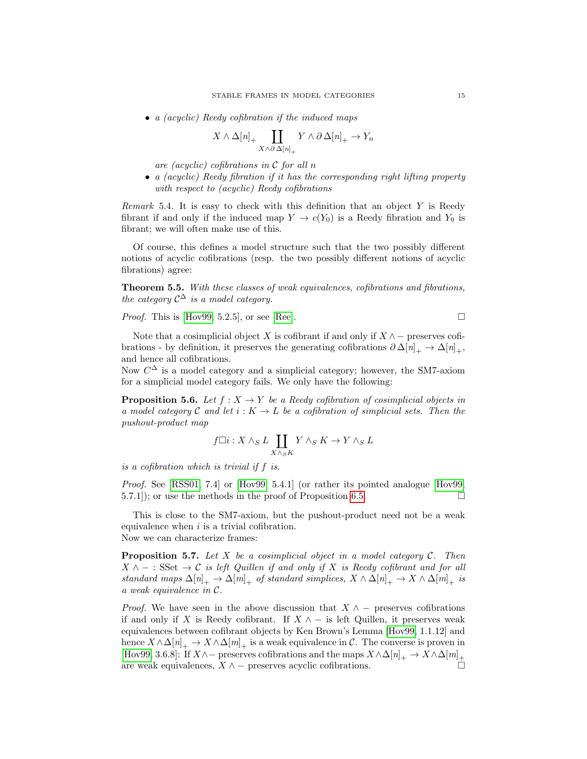• a (acyclic) Reedy cofibration if the induced maps

$$
X \wedge \Delta[n]_+ \coprod_{X \wedge \partial \Delta[n]_+} Y \wedge \partial \Delta[n]_+ \to Y_n
$$

are (acyclic) cofibrations in  $\mathcal C$  for all n

• a (acyclic) Reedy fibration if it has the corresponding right lifting property with respect to (acyclic) Reedy cofibrations

*Remark* 5.4. It is easy to check with this definition that an object  $Y$  is Reedy fibrant if and only if the induced map  $Y \to c(Y_0)$  is a Reedy fibration and  $Y_0$  is fibrant; we will often make use of this.

Of course, this defines a model structure such that the two possibly different notions of acyclic cofibrations (resp. the two possibly different notions of acyclic fibrations) agree:

Theorem 5.5. With these classes of weak equivalences, cofibrations and fibrations, the category  $\mathcal{C}^{\Delta}$  is a model category.

*Proof.* This is [\[Hov99,](#page-37-2) 5.2.5], or see [\[Ree\]](#page-37-8).

Note that a cosimplicial object X is cofibrant if and only if  $X \wedge -$  preserves cofibrations - by definition, it preserves the generating cofibrations  $\partial \Delta[n]_+ \to \Delta[n]_+,$ and hence all cofibrations.

Now  $C^{\Delta}$  is a model category and a simplicial category; however, the SM7-axiom for a simplicial model category fails. We only have the following:

<span id="page-14-0"></span>**Proposition 5.6.** Let  $f : X \to Y$  be a Reedy cofibration of cosimplicial objects in a model category C and let  $i: K \to L$  be a cofibration of simplicial sets. Then the pushout-product map

$$
f\square i: X\wedge_S L\coprod_{X\wedge_S K} Y\wedge_S K\to Y\wedge_S L
$$

is a cofibration which is trivial if f is.

Proof. See [\[RSS01,](#page-37-9) 7.4] or [\[Hov99,](#page-37-2) 5.4.1] (or rather its pointed analogue [\[Hov99,](#page-37-2) 5.7.1); or use the methods in the proof of Proposition [6.5.](#page-21-0)

This is close to the SM7-axiom, but the pushout-product need not be a weak equivalence when  $i$  is a trivial cofibration. Now we can characterize frames:

**Proposition 5.7.** Let X be a cosimplicial object in a model category  $C$ . Then  $X \wedge - : \mathbf{SSet} \to \mathcal{C}$  is left Quillen if and only if X is Reedy cofibrant and for all standard maps  $\Delta[n]_+ \to \Delta[m]_+$  of standard simplices,  $X \wedge \Delta[n]_+ \to X \wedge \Delta[m]_+$  is a weak equivalence in C.

*Proof.* We have seen in the above discussion that  $X \wedge -$  preserves cofibrations if and only if X is Reedy cofibrant. If  $X \wedge -$  is left Quillen, it preserves weak equivalences between cofibrant objects by Ken Brown's Lemma [\[Hov99,](#page-37-2) 1.1.12] and hence  $X \wedge \Delta[n]_+ \to X \wedge \Delta[m]_+$  is a weak equivalence in C. The converse is proven in [\[Hov99,](#page-37-2) 3.6.8]: If  $X \wedge -$  preserves cofibrations and the maps  $X \wedge \Delta[n]_+ \to X \wedge \Delta[m]_+$ are weak equivalences,  $X \wedge -$  preserves acyclic cofibrations.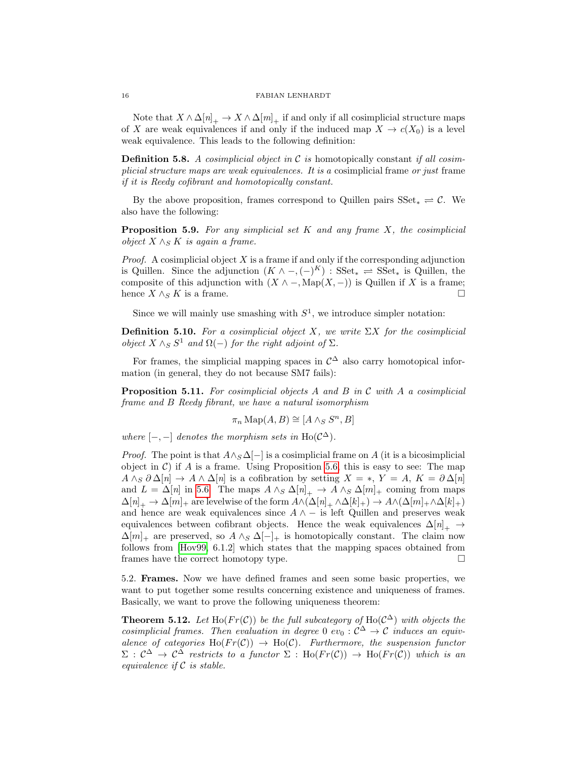Note that  $X \wedge \Delta[n]_+ \to X \wedge \Delta[m]_+$  if and only if all cosimplicial structure maps of X are weak equivalences if and only if the induced map  $X \to c(X_0)$  is a level weak equivalence. This leads to the following definition:

**Definition 5.8.** A cosimplicial object in C is homotopically constant if all cosimplicial structure maps are weak equivalences. It is a cosimplicial frame or just frame if it is Reedy cofibrant and homotopically constant.

By the above proposition, frames correspond to Quillen pairs  $SSet_* \rightleftharpoons \mathcal{C}$ . We also have the following:

**Proposition 5.9.** For any simplicial set K and any frame X, the cosimplicial *object*  $X \wedge_S K$  *is again a frame.* 

*Proof.* A cosimplicial object  $X$  is a frame if and only if the corresponding adjunction is Quillen. Since the adjunction  $(K \wedge -, (-)^K)$ : SSet<sub>\*</sub>  $\rightleftharpoons$  SSet<sub>\*</sub> is Quillen, the composite of this adjunction with  $(X \wedge -$ , Map $(X, -))$  is Quillen if X is a frame; hence  $X \wedge_S K$  is a frame.

Since we will mainly use smashing with  $S<sup>1</sup>$ , we introduce simpler notation:

**Definition 5.10.** For a cosimplicial object X, we write  $\Sigma X$  for the cosimplicial object  $X \wedge_S S^1$  and  $\Omega(-)$  for the right adjoint of  $\Sigma$ .

For frames, the simplicial mapping spaces in  $\mathcal{C}^{\Delta}$  also carry homotopical information (in general, they do not because SM7 fails):

**Proposition 5.11.** For cosimplicial objects A and B in C with A a cosimplicial frame and B Reedy fibrant, we have a natural isomorphism

$$
\pi_n \operatorname{Map}(A, B) \cong [A \wedge_S S^n, B]
$$

where  $[-,-]$  denotes the morphism sets in Ho( $\mathcal{C}^{\Delta}$ ).

*Proof.* The point is that  $A \wedge_S \Delta \{-\}$  is a cosimplicial frame on A (it is a bicosimplicial object in  $\mathcal{C}$ ) if A is a frame. Using Proposition [5.6,](#page-14-0) this is easy to see: The map  $A \wedge_S \partial \Delta[n] \rightarrow A \wedge \Delta[n]$  is a cofibration by setting  $X = *, Y = A, K = \partial \Delta[n]$ and  $L = \Delta[n]$  in [5.6.](#page-14-0) The maps  $A \wedge_S \Delta[n]_+ \rightarrow A \wedge_S \Delta[m]_+$  coming from maps  $\Delta[n]_+ \to \Delta[m]_+$  are levelwise of the form  $A \wedge (\Delta[n]_+ \wedge \Delta[k]_+) \to A \wedge (\Delta[m]_+ \wedge \Delta[k]_+)$ and hence are weak equivalences since  $A \wedge -$  is left Quillen and preserves weak equivalences between cofibrant objects. Hence the weak equivalences  $\Delta[n]_+ \rightarrow$  $\Delta[m]_+$  are preserved, so  $A \wedge_S \Delta[-]_+$  is homotopically constant. The claim now follows from [\[Hov99,](#page-37-2) 6.1.2] which states that the mapping spaces obtained from frames have the correct homotopy type.

5.2. Frames. Now we have defined frames and seen some basic properties, we want to put together some results concerning existence and uniqueness of frames. Basically, we want to prove the following uniqueness theorem:

**Theorem 5.12.** Let Ho( $Fr(\mathcal{C})$ ) be the full subcategory of Ho( $\mathcal{C}^{\Delta}$ ) with objects the cosimplicial frames. Then evaluation in degree 0 ev<sub>0</sub> :  $\mathcal{C}^{\Delta} \to \mathcal{C}$  induces an equivalence of categories  $\text{Ho}(Fr(\mathcal{C})) \rightarrow \text{Ho}(\mathcal{C})$ . Furthermore, the suspension functor  $\Sigma: \mathcal{C}^{\Delta} \to \mathcal{C}^{\Delta}$  restricts to a functor  $\Sigma: Ho(Fr(\mathcal{C})) \to Ho(Fr(\mathcal{C}))$  which is an equivalence if  $C$  is stable.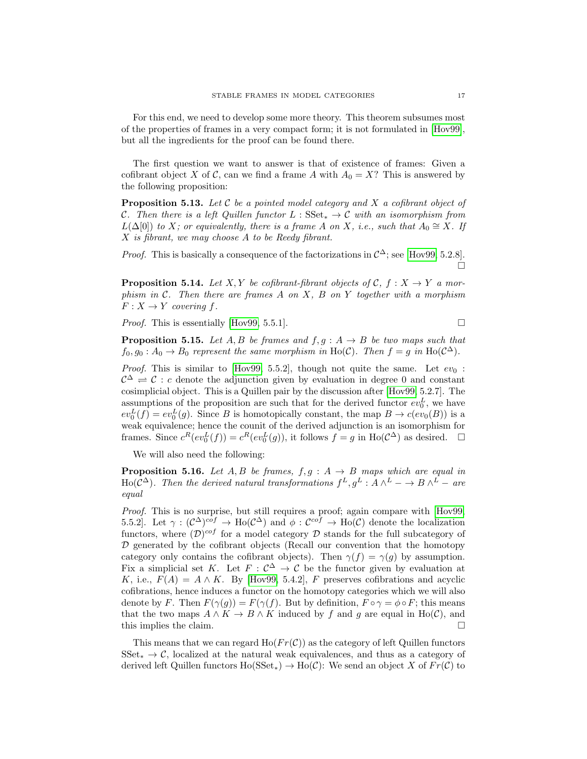For this end, we need to develop some more theory. This theorem subsumes most of the properties of frames in a very compact form; it is not formulated in [\[Hov99\]](#page-37-2), but all the ingredients for the proof can be found there.

The first question we want to answer is that of existence of frames: Given a cofibrant object X of C, can we find a frame A with  $A_0 = X$ ? This is answered by the following proposition:

<span id="page-16-0"></span>**Proposition 5.13.** Let  $C$  be a pointed model category and  $X$  a cofibrant object of C. Then there is a left Quillen functor  $L : SSet_{*} \to C$  with an isomorphism from  $L(\Delta[0])$  to X; or equivalently, there is a frame A on X, i.e., such that  $A_0 \cong X$ . If X is fibrant, we may choose A to be Reedy fibrant.

*Proof.* This is basically a consequence of the factorizations in  $C^{\Delta}$ ; see [\[Hov99,](#page-37-2) 5.2.8].  $\Box$ 

<span id="page-16-1"></span>**Proposition 5.14.** Let X, Y be cofibrant-fibrant objects of C,  $f : X \rightarrow Y$  a morphism in  $C$ . Then there are frames A on X, B on Y together with a morphism  $F: X \to Y$  covering f.

*Proof.* This is essentially [\[Hov99,](#page-37-2) 5.5.1].

<span id="page-16-2"></span>**Proposition 5.15.** Let A, B be frames and  $f, g : A \rightarrow B$  be two maps such that  $f_0, g_0: A_0 \to B_0$  represent the same morphism in Ho(C). Then  $f = g$  in Ho(C<sup> $\triangle$ </sup>).

*Proof.* This is similar to [\[Hov99,](#page-37-2) 5.5.2], though not quite the same. Let  $ev_0$ :  $\mathcal{C}^{\Delta} \rightleftharpoons \mathcal{C}$ : c denote the adjunction given by evaluation in degree 0 and constant cosimplicial object. This is a Quillen pair by the discussion after [\[Hov99,](#page-37-2) 5.2.7]. The assumptions of the proposition are such that for the derived functor  $ev_0^L$ , we have  $ev_0^L(f) = ev_0^L(g)$ . Since B is homotopically constant, the map  $B \to c(ev_0(B))$  is a weak equivalence; hence the counit of the derived adjunction is an isomorphism for frames. Since  $c^R(ev_0^L(f)) = c^R(ev_0^L(g))$ , it follows  $f = g$  in  $Ho(\mathcal{C}^{\Delta})$  as desired.  $\square$ 

We will also need the following:

**Proposition 5.16.** Let A, B be frames,  $f, g : A \rightarrow B$  maps which are equal in Ho( $\mathcal{C}^{\Delta}$ ). Then the derived natural transformations  $f^L, g^L : A \wedge^L - \to B \wedge^L -$  are equal

Proof. This is no surprise, but still requires a proof; again compare with [\[Hov99,](#page-37-2) 5.5.2. Let  $\gamma: (\mathcal{C}^{\Delta})^{cof} \to Ho(\mathcal{C}^{\Delta})$  and  $\phi: \mathcal{C}^{cof} \to Ho(\mathcal{C})$  denote the localization functors, where  $(D)^{cof}$  for a model category D stands for the full subcategory of  $D$  generated by the cofibrant objects (Recall our convention that the homotopy category only contains the cofibrant objects). Then  $\gamma(f) = \gamma(g)$  by assumption. Fix a simplicial set K. Let  $F: \mathcal{C}^{\Delta} \to \mathcal{C}$  be the functor given by evaluation at K, i.e.,  $F(A) = A \wedge K$ . By [\[Hov99,](#page-37-2) 5.4.2], F preserves cofibrations and acyclic cofibrations, hence induces a functor on the homotopy categories which we will also denote by F. Then  $F(\gamma(g)) = F(\gamma(f))$ . But by definition,  $F \circ \gamma = \phi \circ F$ ; this means that the two maps  $A \wedge K \to B \wedge K$  induced by f and q are equal in Ho(C), and this implies the claim.

This means that we can regard  $Ho(Fr(\mathcal{C}))$  as the category of left Quillen functors  $SSet_* \to \mathcal{C}$ , localized at the natural weak equivalences, and thus as a category of derived left Quillen functors  $Ho(SSet_{*)} \to Ho(\mathcal{C})$ : We send an object X of  $Fr(\mathcal{C})$  to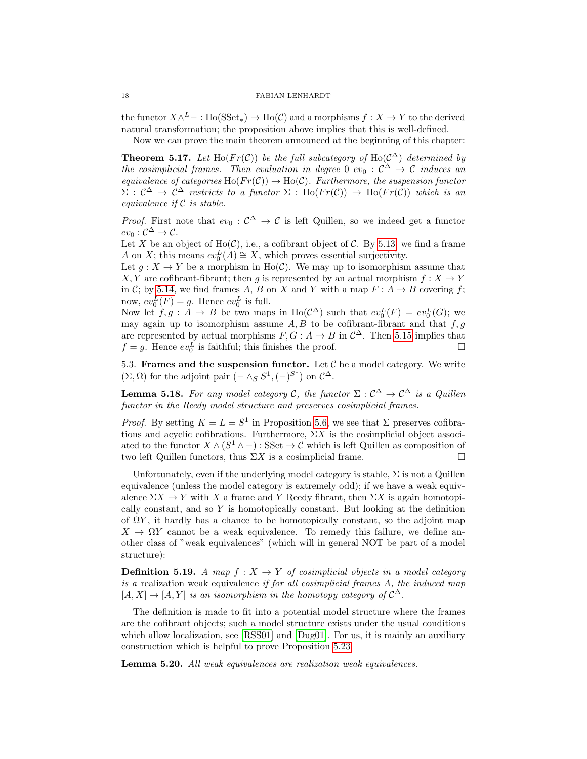the functor  $X \wedge^L - : \text{Ho}(\text{SSet}_*) \to \text{Ho}(\mathcal{C})$  and a morphisms  $f : X \to Y$  to the derived natural transformation; the proposition above implies that this is well-defined.

Now we can prove the main theorem announced at the beginning of this chapter:

<span id="page-17-0"></span>**Theorem 5.17.** Let Ho( $Fr(\mathcal{C})$ ) be the full subcategory of Ho( $\mathcal{C}^{\Delta}$ ) determined by the cosimplicial frames. Then evaluation in degree 0 ev<sub>0</sub> :  $\mathcal{C}^{\Delta} \to \mathcal{C}$  induces an equivalence of categories Ho( $Fr(\mathcal{C})$ )  $\rightarrow$  Ho( $\mathcal{C}$ ). Furthermore, the suspension functor  $\Sigma: \mathcal{C}^{\Delta} \to \mathcal{C}^{\Delta}$  restricts to a functor  $\Sigma: Ho(Fr(\mathcal{C})) \to Ho(Fr(\mathcal{C}))$  which is an equivalence if  $C$  is stable.

*Proof.* First note that  $ev_0: \mathcal{C}^{\Delta} \to \mathcal{C}$  is left Quillen, so we indeed get a functor  $ev_0: \mathcal{C}^{\Delta} \to \mathcal{C}.$ 

Let X be an object of  $Ho(\mathcal{C})$ , i.e., a cofibrant object of C. By [5.13,](#page-16-0) we find a frame A on X; this means  $ev_0^L(A) \cong X$ , which proves essential surjectivity.

Let  $g: X \to Y$  be a morphism in Ho(C). We may up to isomorphism assume that X, Y are cofibrant-fibrant; then g is represented by an actual morphism  $f: X \to Y$ in C; by [5.14,](#page-16-1) we find frames A, B on X and Y with a map  $F : A \rightarrow B$  covering f; now,  $ev_0^L(F) = g$ . Hence  $ev_0^L$  is full.

Now let  $f, g : A \to B$  be two maps in  $\text{Ho}(\mathcal{C}^{\Delta})$  such that  $ev_0^L(F) = ev_0^L(G)$ ; we may again up to isomorphism assume  $A, B$  to be cofibrant-fibrant and that  $f, g$ are represented by actual morphisms  $F, G: A \to B$  in  $\mathcal{C}^{\Delta}$ . Then [5.15](#page-16-2) implies that  $f = g$ . Hence  $ev_0^L$  is faithful; this finishes the proof.

5.3. Frames and the suspension functor. Let  $C$  be a model category. We write  $(\Sigma, \Omega)$  for the adjoint pair  $(- \wedge_S S^1, (-S^1)$  on  $\mathcal{C}^{\Delta}$ .

**Lemma 5.18.** For any model category C, the functor  $\Sigma : \mathcal{C}^{\Delta} \to \mathcal{C}^{\Delta}$  is a Quillen functor in the Reedy model structure and preserves cosimplicial frames.

*Proof.* By setting  $K = L = S^1$  in Proposition [5.6,](#page-14-0) we see that  $\Sigma$  preserves cofibrations and acyclic cofibrations. Furthermore,  $\Sigma X$  is the cosimplicial object associated to the functor  $X \wedge (S^1 \wedge -) : \mathbf{SSet} \to \mathcal{C}$  which is left Quillen as composition of two left Quillen functors, thus  $\Sigma X$  is a cosimplicial frame.

Unfortunately, even if the underlying model category is stable,  $\Sigma$  is not a Quillen equivalence (unless the model category is extremely odd); if we have a weak equivalence  $\Sigma X \to Y$  with X a frame and Y Reedy fibrant, then  $\Sigma X$  is again homotopically constant, and so Y is homotopically constant. But looking at the definition of  $\Omega Y$ , it hardly has a chance to be homotopically constant, so the adjoint map  $X \to \Omega Y$  cannot be a weak equivalence. To remedy this failure, we define another class of "weak equivalences" (which will in general NOT be part of a model structure):

**Definition 5.19.** A map  $f: X \to Y$  of cosimplicial objects in a model category is a realization weak equivalence if for all cosimplicial frames A, the induced map  $[A, X] \rightarrow [A, Y]$  is an isomorphism in the homotopy category of  $\mathcal{C}^{\Delta}$ .

The definition is made to fit into a potential model structure where the frames are the cofibrant objects; such a model structure exists under the usual conditions which allow localization, see [\[RSS01\]](#page-37-9) and [\[Dug01\]](#page-36-4). For us, it is mainly an auxiliary construction which is helpful to prove Proposition [5.23.](#page-18-0)

Lemma 5.20. All weak equivalences are realization weak equivalences.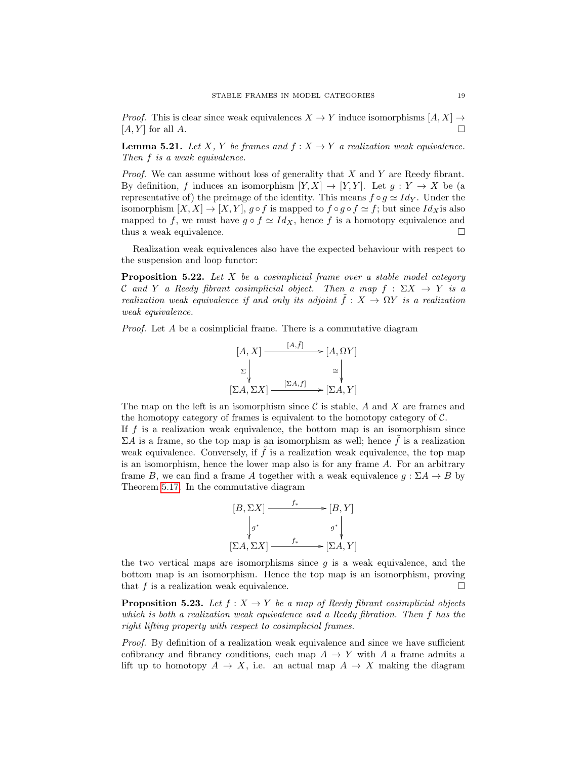*Proof.* This is clear since weak equivalences  $X \to Y$  induce isomorphisms  $[A, X] \to$  $[A, Y]$  for all  $A$ .

**Lemma 5.21.** Let X, Y be frames and  $f: X \to Y$  a realization weak equivalence. Then  $f$  is a weak equivalence.

*Proof.* We can assume without loss of generality that  $X$  and  $Y$  are Reedy fibrant. By definition, f induces an isomorphism  $[Y, X] \to [Y, Y]$ . Let  $g: Y \to X$  be (a representative of) the preimage of the identity. This means  $f \circ g \simeq Id_Y$ . Under the isomorphism  $[X, X] \to [X, Y]$ ,  $g \circ f$  is mapped to  $f \circ g \circ f \simeq f$ ; but since  $Id_X$  is also mapped to f, we must have  $g \circ f \simeq Id_X$ , hence f is a homotopy equivalence and thus a weak equivalence.

Realization weak equivalences also have the expected behaviour with respect to the suspension and loop functor:

<span id="page-18-1"></span>**Proposition 5.22.** Let  $X$  be a cosimplicial frame over a stable model category C and Y a Reedy fibrant cosimplicial object. Then a map  $f : \Sigma X \to Y$  is a realization weak equivalence if and only its adjoint  $\tilde{f}: X \to \Omega Y$  is a realization weak equivalence.

Proof. Let A be a cosimplicial frame. There is a commutative diagram

$$
[A, X] \xrightarrow{[A, f]} \longrightarrow [A, \Omega Y]
$$
  
\n
$$
\Sigma \downarrow \cong \downarrow \qquad \cong \downarrow
$$
  
\n
$$
[\Sigma A, \Sigma X] \xrightarrow{[\Sigma A, f]} \longrightarrow [\Sigma A, Y]
$$

 $\frac{1}{2}$ ,  $\frac{1}{2}$ 

The map on the left is an isomorphism since  $\mathcal C$  is stable,  $A$  and  $X$  are frames and the homotopy category of frames is equivalent to the homotopy category of C.

If  $f$  is a realization weak equivalence, the bottom map is an isomorphism since  $\Sigma A$  is a frame, so the top map is an isomorphism as well; hence f is a realization weak equivalence. Conversely, if  $\tilde{f}$  is a realization weak equivalence, the top map is an isomorphism, hence the lower map also is for any frame A. For an arbitrary frame B, we can find a frame A together with a weak equivalence  $q : \Sigma A \to B$  by Theorem [5.17.](#page-17-0) In the commutative diagram



the two vertical maps are isomorphisms since  $g$  is a weak equivalence, and the bottom map is an isomorphism. Hence the top map is an isomorphism, proving that f is a realization weak equivalence.

<span id="page-18-0"></span>**Proposition 5.23.** Let  $f : X \to Y$  be a map of Reedy fibrant cosimplicial objects which is both a realization weak equivalence and a Reedy fibration. Then f has the right lifting property with respect to cosimplicial frames.

Proof. By definition of a realization weak equivalence and since we have sufficient cofibrancy and fibrancy conditions, each map  $A \to Y$  with A a frame admits a lift up to homotopy  $A \to X$ , i.e. an actual map  $A \to X$  making the diagram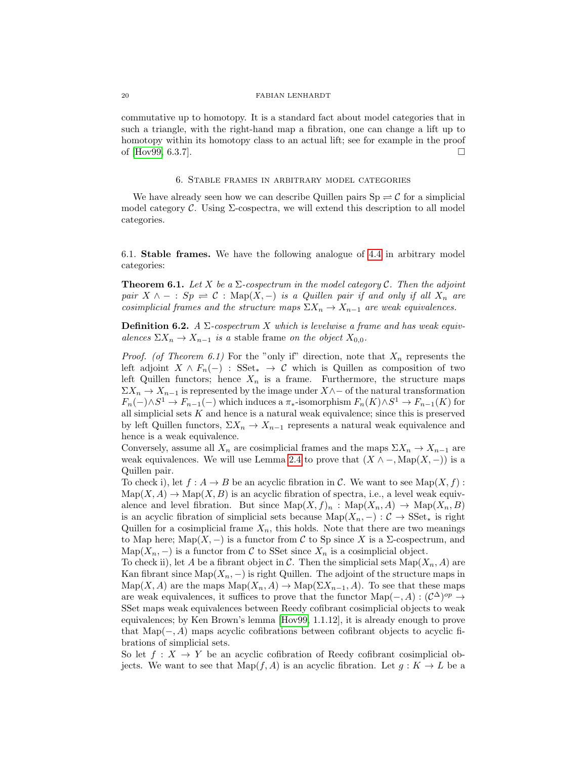commutative up to homotopy. It is a standard fact about model categories that in such a triangle, with the right-hand map a fibration, one can change a lift up to homotopy within its homotopy class to an actual lift; see for example in the proof of [\[Hov99,](#page-37-2) 6.3.7].

## 6. Stable frames in arbitrary model categories

We have already seen how we can describe Quillen pairs  $\text{Sp} \rightleftharpoons \mathcal{C}$  for a simplicial model category  $\mathcal C$ . Using  $\Sigma$ -cospectra, we will extend this description to all model categories.

6.1. Stable frames. We have the following analogue of [4.4](#page-9-1) in arbitrary model categories:

<span id="page-19-0"></span>**Theorem 6.1.** Let X be a  $\Sigma$ -cospectrum in the model category C. Then the adjoint pair  $X \wedge - : Sp \rightleftharpoons \mathcal{C} : \text{Map}(X, -)$  is a Quillen pair if and only if all  $X_n$  are cosimplicial frames and the structure maps  $\Sigma X_n \to X_{n-1}$  are weak equivalences.

**Definition 6.2.** A  $\Sigma$ -cospectrum X which is levelwise a frame and has weak equivalences  $\Sigma X_n \to X_{n-1}$  is a stable frame on the object  $X_{0,0}$ .

*Proof.* (of Theorem 6.1) For the "only if" direction, note that  $X_n$  represents the left adjoint  $X \wedge F_n(-)$ : SSet<sub>\*</sub>  $\rightarrow$  C which is Quillen as composition of two left Quillen functors; hence  $X_n$  is a frame. Furthermore, the structure maps  $\Sigma X_n \to X_{n-1}$  is represented by the image under  $X \wedge$  − of the natural transformation  $F_n(-) \wedge S^1 \to F_{n-1}(-)$  which induces a  $\pi_*$ -isomorphism  $F_n(K) \wedge S^1 \to F_{n-1}(K)$  for all simplicial sets  $K$  and hence is a natural weak equivalence; since this is preserved by left Quillen functors,  $\Sigma X_n \to X_{n-1}$  represents a natural weak equivalence and hence is a weak equivalence.

Conversely, assume all  $X_n$  are cosimplicial frames and the maps  $\Sigma X_n \to X_{n-1}$  are weak equivalences. We will use Lemma [2.4](#page-5-0) to prove that  $(X \land \neg, \text{Map}(X, -))$  is a Quillen pair.

To check i), let  $f : A \to B$  be an acyclic fibration in C. We want to see Map $(X, f)$ :  $\text{Map}(X, A) \to \text{Map}(X, B)$  is an acyclic fibration of spectra, i.e., a level weak equivalence and level fibration. But since  $\text{Map}(X, f)_n$ :  $\text{Map}(X_n, A) \to \text{Map}(X_n, B)$ is an acyclic fibration of simplicial sets because  $\text{Map}(X_n, -): \mathcal{C} \to \text{SSet}_*$  is right Quillen for a cosimplicial frame  $X_n$ , this holds. Note that there are two meanings to Map here; Map $(X, -)$  is a functor from C to Sp since X is a  $\Sigma$ -cospectrum, and Map( $X_n$ , −) is a functor from C to SSet since  $X_n$  is a cosimplicial object.

To check ii), let A be a fibrant object in C. Then the simplicial sets  $\text{Map}(X_n, A)$  are Kan fibrant since Map $(X_n, -)$  is right Quillen. The adjoint of the structure maps in  $\text{Map}(X, A)$  are the maps  $\text{Map}(X_n, A) \to \text{Map}(\Sigma X_{n-1}, A)$ . To see that these maps are weak equivalences, it suffices to prove that the functor  $\text{Map}(-, A) : (\mathcal{C}^{\Delta})^{op} \to$ SSet maps weak equivalences between Reedy cofibrant cosimplicial objects to weak equivalences; by Ken Brown's lemma [\[Hov99,](#page-37-2) 1.1.12], it is already enough to prove that Map $(-, A)$  maps acyclic cofibrations between cofibrant objects to acyclic fibrations of simplicial sets.

So let  $f: X \to Y$  be an acyclic cofibration of Reedy cofibrant cosimplicial objects. We want to see that  $\text{Map}(f, A)$  is an acyclic fibration. Let  $g: K \to L$  be a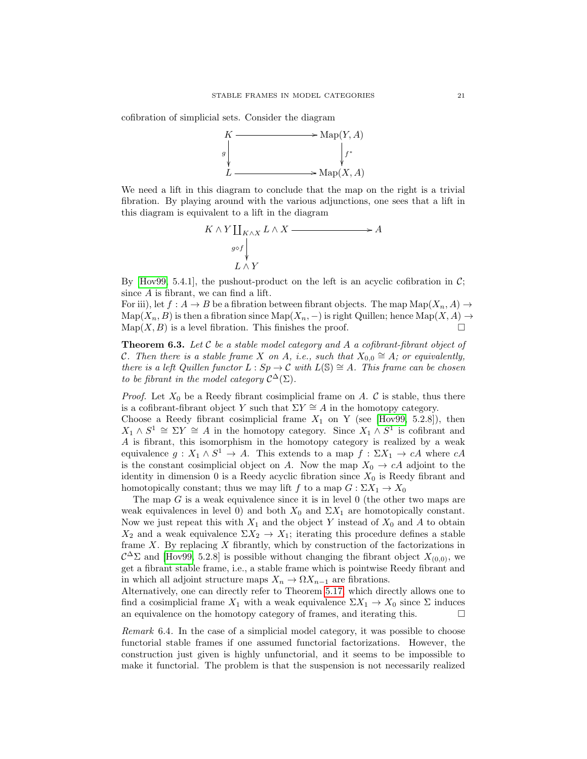cofibration of simplicial sets. Consider the diagram



We need a lift in this diagram to conclude that the map on the right is a trivial fibration. By playing around with the various adjunctions, one sees that a lift in this diagram is equivalent to a lift in the diagram

$$
K \wedge Y \coprod_{K \wedge X} L \wedge X \xrightarrow{\qquad} A
$$
  

$$
g \circ f \downarrow \qquad \qquad L \wedge Y
$$

By [\[Hov99,](#page-37-2) 5.4.1], the pushout-product on the left is an acyclic cofibration in  $\mathcal{C}$ ; since A is fibrant, we can find a lift.

For iii), let  $f : A \to B$  be a fibration between fibrant objects. The map  $\text{Map}(X_n, A) \to$  $\mathrm{Map}(X_n, B)$  is then a fibration since  $\mathrm{Map}(X_n, -)$  is right Quillen; hence  $\mathrm{Map}(X, A) \to$  $\text{Map}(X, B)$  is a level fibration. This finishes the proof.

<span id="page-20-0"></span>**Theorem 6.3.** Let  $C$  be a stable model category and A a cofibrant-fibrant object of C. Then there is a stable frame X on A, i.e., such that  $X_{0,0} \cong A$ ; or equivalently, there is a left Quillen functor  $L : Sp \to \mathcal{C}$  with  $L(\mathbb{S}) \cong A$ . This frame can be chosen to be fibrant in the model category  $\mathcal{C}^{\Delta}(\Sigma)$ .

*Proof.* Let  $X_0$  be a Reedy fibrant cosimplicial frame on A. C is stable, thus there is a cofibrant-fibrant object Y such that  $\Sigma Y \cong A$  in the homotopy category.

Choose a Reedy fibrant cosimplicial frame  $X_1$  on Y (see [\[Hov99,](#page-37-2) 5.2.8]), then  $X_1 \wedge S^1 \cong \Sigma Y \cong A$  in the homotopy category. Since  $X_1 \wedge S^1$  is cofibrant and A is fibrant, this isomorphism in the homotopy category is realized by a weak equivalence  $g: X_1 \wedge S^1 \to A$ . This extends to a map  $f: \Sigma X_1 \to cA$  where  $cA$ is the constant cosimplicial object on A. Now the map  $X_0 \to cA$  adjoint to the identity in dimension 0 is a Reedy acyclic fibration since  $X_0$  is Reedy fibrant and homotopically constant; thus we may lift f to a map  $G: \Sigma X_1 \to X_0$ 

The map  $G$  is a weak equivalence since it is in level  $0$  (the other two maps are weak equivalences in level 0) and both  $X_0$  and  $\Sigma X_1$  are homotopically constant. Now we just repeat this with  $X_1$  and the object Y instead of  $X_0$  and A to obtain  $X_2$  and a weak equivalence  $\Sigma X_2 \to X_1$ ; iterating this procedure defines a stable frame  $X$ . By replacing  $X$  fibrantly, which by construction of the factorizations in  $\mathcal{C}^{\Delta} \Sigma$  and [\[Hov99,](#page-37-2) 5.2.8] is possible without changing the fibrant object  $X_{(0,0)}$ , we get a fibrant stable frame, i.e., a stable frame which is pointwise Reedy fibrant and in which all adjoint structure maps  $X_n \to \Omega X_{n-1}$  are fibrations.

Alternatively, one can directly refer to Theorem [5.17,](#page-17-0) which directly allows one to find a cosimplicial frame  $X_1$  with a weak equivalence  $\Sigma X_1 \to X_0$  since  $\Sigma$  induces an equivalence on the homotopy category of frames, and iterating this.  $\Box$ 

Remark 6.4. In the case of a simplicial model category, it was possible to choose functorial stable frames if one assumed functorial factorizations. However, the construction just given is highly unfunctorial, and it seems to be impossible to make it functorial. The problem is that the suspension is not necessarily realized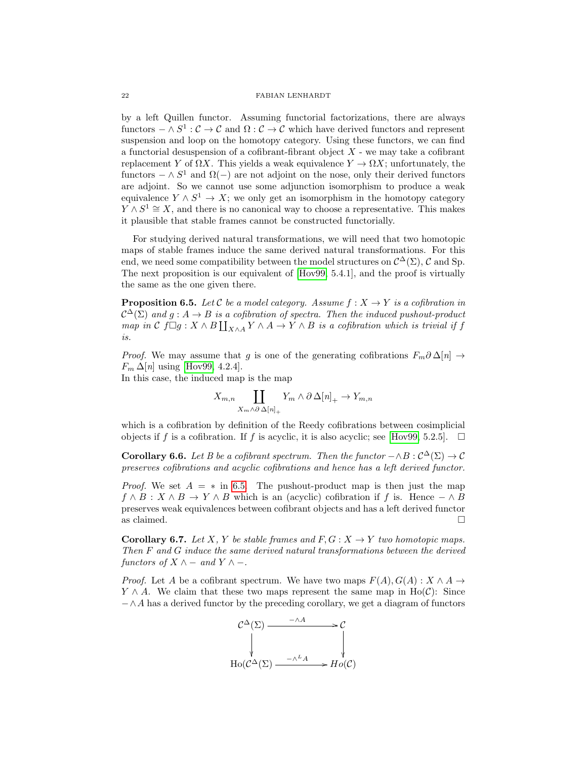by a left Quillen functor. Assuming functorial factorizations, there are always functors  $-\wedge S^1:\mathcal{C}\to\mathcal{C}$  and  $\Omega:\mathcal{C}\to\mathcal{C}$  which have derived functors and represent suspension and loop on the homotopy category. Using these functors, we can find a functorial desuspension of a cofibrant-fibrant object  $X$  - we may take a cofibrant replacement Y of  $\Omega X$ . This yields a weak equivalence  $Y \to \Omega X$ ; unfortunately, the functors  $-\wedge S^1$  and  $\Omega(-)$  are not adjoint on the nose, only their derived functors are adjoint. So we cannot use some adjunction isomorphism to produce a weak equivalence  $Y \wedge S^1 \to X$ ; we only get an isomorphism in the homotopy category  $Y \wedge S^1 \cong X$ , and there is no canonical way to choose a representative. This makes it plausible that stable frames cannot be constructed functorially.

For studying derived natural transformations, we will need that two homotopic maps of stable frames induce the same derived natural transformations. For this end, we need some compatibility between the model structures on  $\mathcal{C}^{\Delta}(\Sigma)$ , C and Sp. The next proposition is our equivalent of [\[Hov99,](#page-37-2) 5.4.1], and the proof is virtually the same as the one given there.

<span id="page-21-0"></span>**Proposition 6.5.** Let C be a model category. Assume  $f : X \rightarrow Y$  is a cofibration in  $\mathcal{C}^{\Delta}(\Sigma)$  and  $g: A \to B$  is a cofibration of spectra. Then the induced pushout-product map in  $\mathcal C$  for  $\Box g: X \wedge B \coprod_{X \wedge A} Y \wedge A \to Y \wedge B$  is a cofibration which is trivial if f is.

*Proof.* We may assume that g is one of the generating cofibrations  $F_m \partial \Delta[n] \rightarrow$  $F_m \Delta[n]$  using [\[Hov99,](#page-37-2) 4.2.4].

In this case, the induced map is the map

$$
X_{m,n} \coprod_{X_m \wedge \partial \Delta[n]_+} Y_m \wedge \partial \Delta[n]_+ \to Y_{m,n}
$$

which is a cofibration by definition of the Reedy cofibrations between cosimplicial objects if f is a cofibration. If f is acyclic, it is also acyclic; see [\[Hov99,](#page-37-2) 5.2.5].  $\Box$ 

<span id="page-21-1"></span>**Corollary 6.6.** Let B be a cofibrant spectrum. Then the functor  $-\wedge B : C^{\Delta}(\Sigma) \to C$ preserves cofibrations and acyclic cofibrations and hence has a left derived functor.

*Proof.* We set  $A = *$  in [6.5.](#page-21-0) The pushout-product map is then just the map  $f \wedge B : X \wedge B \to Y \wedge B$  which is an (acyclic) cofibration if f is. Hence  $-\wedge B$ preserves weak equivalences between cofibrant objects and has a left derived functor as claimed.  $\Box$ 

**Corollary 6.7.** Let X, Y be stable frames and  $F, G: X \to Y$  two homotopic maps. Then F and G induce the same derived natural transformations between the derived functors of  $X \wedge -$  and  $Y \wedge -$ .

*Proof.* Let A be a cofibrant spectrum. We have two maps  $F(A), G(A) : X \wedge A \rightarrow$  $Y \wedge A$ . We claim that these two maps represent the same map in Ho(C): Since  $-\wedge A$  has a derived functor by the preceding corollary, we get a diagram of functors

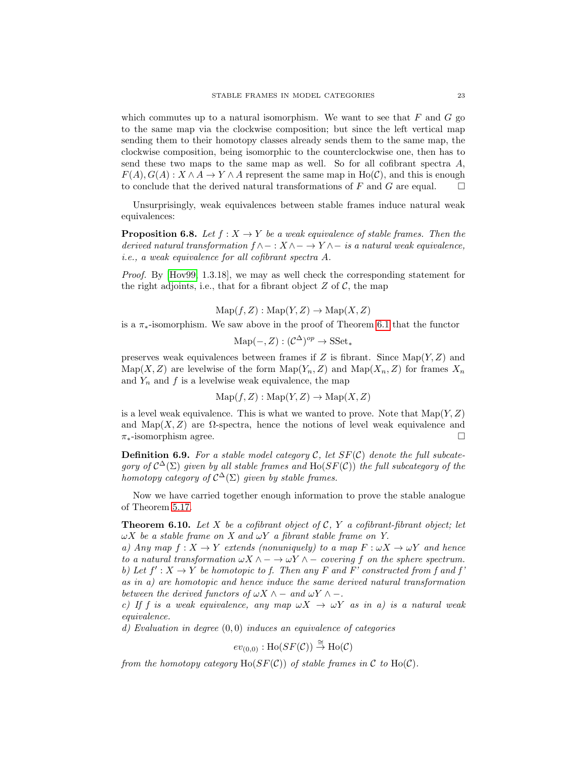which commutes up to a natural isomorphism. We want to see that  $F$  and  $G$  go to the same map via the clockwise composition; but since the left vertical map sending them to their homotopy classes already sends them to the same map, the clockwise composition, being isomorphic to the counterclockwise one, then has to send these two maps to the same map as well. So for all cofibrant spectra  $A$ ,  $F(A), G(A): X \wedge A \rightarrow Y \wedge A$  represent the same map in Ho(C), and this is enough to conclude that the derived natural transformations of F and G are equal.  $\square$ 

Unsurprisingly, weak equivalences between stable frames induce natural weak equivalences:

**Proposition 6.8.** Let  $f: X \to Y$  be a weak equivalence of stable frames. Then the derived natural transformation  $f \wedge - : X \wedge - \to Y \wedge -$  is a natural weak equivalence, i.e., a weak equivalence for all cofibrant spectra A.

Proof. By [\[Hov99,](#page-37-2) 1.3.18], we may as well check the corresponding statement for the right adjoints, i.e., that for a fibrant object  $Z$  of  $C$ , the map

 $\mathrm{Map}(f, Z): \mathrm{Map}(Y, Z) \to \mathrm{Map}(X, Z)$ 

is a π∗-isomorphism. We saw above in the proof of Theorem [6.1](#page-19-0) that the functor

$$
\mathrm{Map}(-,Z): (\mathcal{C}^{\Delta})^{op} \to \mathrm{SSet}_*
$$

preserves weak equivalences between frames if  $Z$  is fibrant. Since  $\text{Map}(Y, Z)$  and  $\text{Map}(X, Z)$  are levelwise of the form  $\text{Map}(Y_n, Z)$  and  $\text{Map}(X_n, Z)$  for frames  $X_n$ and  $Y_n$  and f is a levelwise weak equivalence, the map

$$
Map(f, Z) : Map(Y, Z) \to Map(X, Z)
$$

is a level weak equivalence. This is what we wanted to prove. Note that  $\text{Map}(Y, Z)$ and Map(X, Z) are  $\Omega$ -spectra, hence the notions of level weak equivalence and  $\pi_*$ -isomorphism agree.

**Definition 6.9.** For a stable model category C, let  $SF(\mathcal{C})$  denote the full subcategory of  $C^{\Delta}(\Sigma)$  given by all stable frames and  $\text{Ho}(SF(\mathcal{C}))$  the full subcategory of the homotopy category of  $C^{\Delta}(\Sigma)$  given by stable frames.

Now we have carried together enough information to prove the stable analogue of Theorem [5.17.](#page-17-0)

<span id="page-22-0"></span>**Theorem 6.10.** Let X be a cofibrant object of C, Y a cofibrant-fibrant object; let  $\omega X$  be a stable frame on X and  $\omega Y$  a fibrant stable frame on Y.

a) Any map  $f: X \to Y$  extends (nonuniquely) to a map  $F: \omega X \to \omega Y$  and hence to a natural transformation  $\omega X \wedge - \to \omega Y \wedge -$  covering f on the sphere spectrum. b) Let  $f' : X \to Y$  be homotopic to f. Then any F and F' constructed from f and f as in a) are homotopic and hence induce the same derived natural transformation between the derived functors of  $\omega X \wedge -$  and  $\omega Y \wedge -$ .

c) If f is a weak equivalence, any map  $\omega X \to \omega Y$  as in a) is a natural weak equivalence.

d) Evaluation in degree  $(0,0)$  induces an equivalence of categories

$$
ev_{(0,0)} : \text{Ho}(SF(\mathcal{C})) \overset{\cong}{\rightarrow} \text{Ho}(\mathcal{C})
$$

from the homotopy category  $Ho(SF(\mathcal{C}))$  of stable frames in  $\mathcal C$  to  $Ho(\mathcal{C})$ .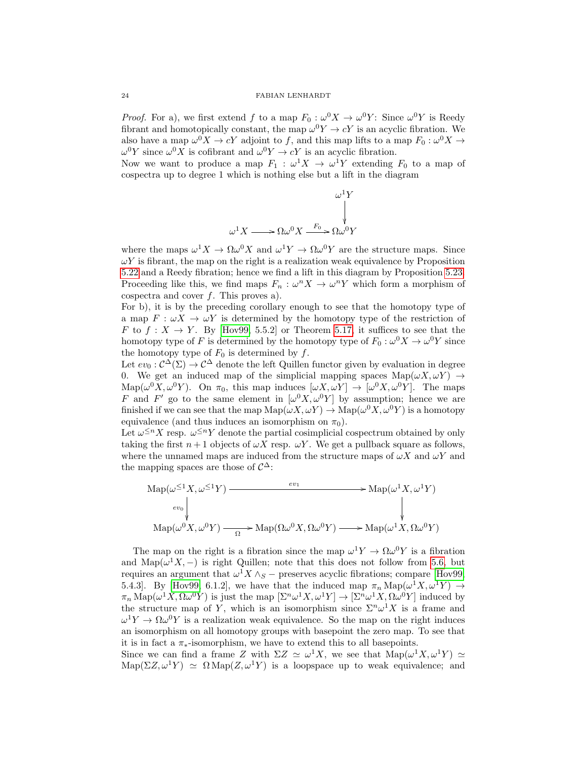*Proof.* For a), we first extend f to a map  $F_0: \omega^0 X \to \omega^0 Y$ : Since  $\omega^0 Y$  is Reedy fibrant and homotopically constant, the map  $\omega^0 Y \to cY$  is an acyclic fibration. We also have a map  $\omega^0 X \to cY$  adjoint to f, and this map lifts to a map  $F_0: \omega^0 X \to$  $\omega^0 Y$  since  $\omega^0 X$  is cofibrant and  $\omega^0 Y \to cY$  is an acyclic fibration.

Now we want to produce a map  $F_1$ :  $\omega^1 X \to \omega^1 Y$  extending  $F_0$  to a map of cospectra up to degree 1 which is nothing else but a lift in the diagram

$$
\omega^{1}Y
$$
  

$$
\omega^{1}X \longrightarrow \Omega \omega^{0}X \xrightarrow{F_{0}} \Omega \omega^{0}Y
$$

where the maps  $\omega^1 X \to \Omega \omega^0 X$  and  $\omega^1 Y \to \Omega \omega^0 Y$  are the structure maps. Since  $\omega Y$  is fibrant, the map on the right is a realization weak equivalence by Proposition [5.22](#page-18-1) and a Reedy fibration; hence we find a lift in this diagram by Proposition [5.23.](#page-18-0) Proceeding like this, we find maps  $F_n : \omega^n X \to \omega^n Y$  which form a morphism of cospectra and cover  $f$ . This proves a).

For b), it is by the preceding corollary enough to see that the homotopy type of a map  $F: \omega X \to \omega Y$  is determined by the homotopy type of the restriction of F to  $f: X \to Y$ . By [\[Hov99,](#page-37-2) 5.5.2] or Theorem [5.17,](#page-17-0) it suffices to see that the homotopy type of F is determined by the homotopy type of  $F_0: \omega^0 X \to \omega^0 Y$  since the homotopy type of  $F_0$  is determined by  $f$ .

Let  $ev_0: C^{\Delta}(\Sigma) \to C^{\Delta}$  denote the left Quillen functor given by evaluation in degree 0. We get an induced map of the simplicial mapping spaces  $\text{Map}(\omega X, \omega Y) \rightarrow$ Map( $\omega^0 X, \omega^0 Y$ ). On  $\pi_0$ , this map induces  $[\omega X, \omega Y] \to [\omega^0 X, \omega^0 Y]$ . The maps F and F' go to the same element in  $\left[\omega^0 X, \omega^0 Y\right]$  by assumption; hence we are finished if we can see that the map  $\text{Map}(\omega X, \omega Y) \to \text{Map}(\omega^0 X, \omega^0 Y)$  is a homotopy equivalence (and thus induces an isomorphism on  $\pi_0$ ).

Let  $\omega^{\leq n} X$  resp.  $\omega^{\leq n} Y$  denote the partial cosimplicial cospectrum obtained by only taking the first  $n+1$  objects of  $\omega X$  resp.  $\omega Y$ . We get a pullback square as follows, where the unnamed maps are induced from the structure maps of  $\omega X$  and  $\omega Y$  and the mapping spaces are those of  $\mathcal{C}^{\Delta}$ :

$$
\operatorname{Map}(\omega^{\leq 1}X, \omega^{\leq 1}Y) \xrightarrow{ev_1} \longrightarrow \operatorname{Map}(\omega^1 X, \omega^1 Y)
$$
  
\n
$$
\downarrow \qquad \qquad \downarrow
$$
  
\n
$$
\operatorname{Map}(\omega^0 X, \omega^0 Y) \xrightarrow{\Omega} \operatorname{Map}(\Omega \omega^0 X, \Omega \omega^0 Y) \longrightarrow \operatorname{Map}(\omega^1 X, \Omega \omega^0 Y)
$$

The map on the right is a fibration since the map  $\omega^1 Y \to \Omega \omega^0 Y$  is a fibration and Map( $\omega^1 X$ , –) is right Quillen; note that this does not follow from [5.6,](#page-14-0) but requires an argument that  $\omega$ <sup>1</sup>X  $\wedge$ <sub>S</sub> – preserves acyclic fibrations; compare [\[Hov99,](#page-37-2) 5.4.3]. By [\[Hov99,](#page-37-2) 6.1.2], we have that the induced map  $\pi_n \text{Map}(\omega^1 X, \omega^1 Y) \rightarrow$  $\pi_n \text{Map}(\omega^1 X, \Omega \omega^0 Y)$  is just the map  $[\Sigma^n \omega^1 X, \omega^1 Y] \to [\Sigma^n \omega^1 X, \Omega \omega^0 Y]$  induced by the structure map of Y, which is an isomorphism since  $\Sigma^n \omega^1 X$  is a frame and  $\omega^1 Y \to \Omega \omega^0 Y$  is a realization weak equivalence. So the map on the right induces an isomorphism on all homotopy groups with basepoint the zero map. To see that it is in fact a  $\pi_*$ -isomorphism, we have to extend this to all basepoints.

Since we can find a frame Z with  $\Sigma Z \simeq \omega^1 X$ , we see that  $\text{Map}(\omega^1 X, \omega^1 Y) \simeq$  $\text{Map}(\Sigma Z, \omega^1 Y) \simeq \Omega \text{Map}(Z, \omega^1 Y)$  is a loopspace up to weak equivalence; and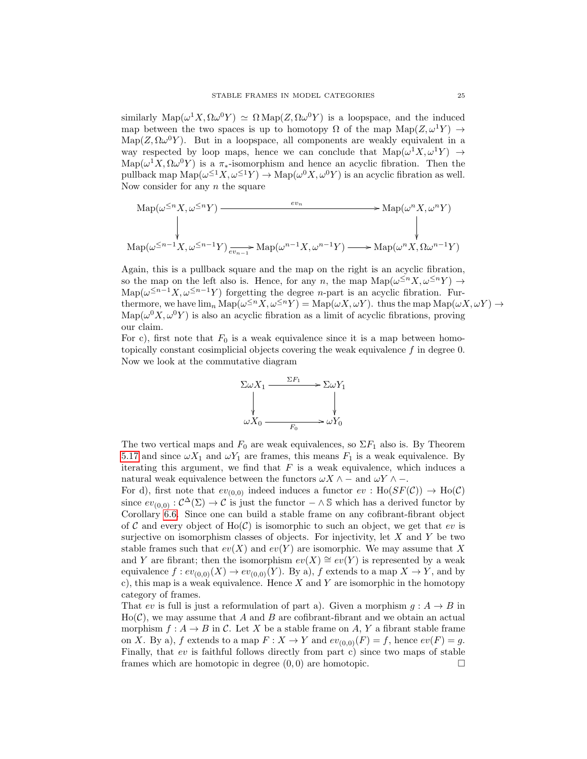similarly  $\text{Map}(\omega^1 X, \Omega \omega^0 Y) \simeq \Omega \text{Map}(Z, \Omega \omega^0 Y)$  is a loopspace, and the induced map between the two spaces is up to homotopy  $\Omega$  of the map  $\text{Map}(Z, \omega^1 Y) \rightarrow$  $\text{Map}(Z, \Omega \omega^0 Y)$ . But in a loopspace, all components are weakly equivalent in a way respected by loop maps, hence we can conclude that  $\text{Map}(\omega^1 X, \omega^1 Y) \rightarrow$  $\text{Map}(\omega^1 X, \Omega \omega^0 Y)$  is a  $\pi_*$ -isomorphism and hence an acyclic fibration. Then the pullback map  $\text{Map}(\omega^{\leq 1}X, \omega^{\leq 1}Y) \to \text{Map}(\omega^0X, \omega^0Y)$  is an acyclic fibration as well. Now consider for any  $n$  the square

$$
\mathrm{Map}(\omega^{\leq n}X, \omega^{\leq n}Y) \xrightarrow{ev_n} \mathrm{Map}(\omega^nX, \omega^nY)
$$
\n
$$
\downarrow \qquad \qquad \downarrow
$$
\n
$$
\mathrm{Map}(\omega^{\leq n-1}X, \omega^{\leq n-1}Y) \xrightarrow{ev_n} \mathrm{Map}(\omega^{n-1}X, \omega^{n-1}Y) \xrightarrow{ev_n} \mathrm{Map}(\omega^nX, \Omega \omega^{n-1}Y)
$$

Again, this is a pullback square and the map on the right is an acyclic fibration, so the map on the left also is. Hence, for any n, the map  $\text{Map}(\omega^{\leq n}X, \omega^{\leq n}Y) \to$ Map( $\omega^{\leq n-1}X, \omega^{\leq n-1}Y$ ) forgetting the degree *n*-part is an acyclic fibration. Furthermore, we have  $\lim_n \text{Map}(\omega^{\leq n} X, \omega^{\leq n} Y) = \text{Map}(\omega X, \omega Y)$ . thus the map  $\text{Map}(\omega X, \omega Y) \to$  $\text{Map}(\omega^0 X, \omega^0 Y)$  is also an acyclic fibration as a limit of acyclic fibrations, proving our claim.

For c), first note that  $F_0$  is a weak equivalence since it is a map between homotopically constant cosimplicial objects covering the weak equivalence  $f$  in degree 0. Now we look at the commutative diagram



The two vertical maps and  $F_0$  are weak equivalences, so  $\Sigma F_1$  also is. By Theorem [5.17](#page-17-0) and since  $\omega X_1$  and  $\omega Y_1$  are frames, this means  $F_1$  is a weak equivalence. By iterating this argument, we find that  $F$  is a weak equivalence, which induces a natural weak equivalence between the functors  $\omega X \wedge -$  and  $\omega Y \wedge -$ .

For d), first note that  $ev_{(0,0)}$  indeed induces a functor  $ev : Ho(SF(\mathcal{C})) \to Ho(\mathcal{C})$ since  $ev_{(0,0)} : C^{\Delta}(\Sigma) \to C$  is just the functor  $-\wedge \mathbb{S}$  which has a derived functor by Corollary [6.6.](#page-21-1) Since one can build a stable frame on any cofibrant-fibrant object of C and every object of  $Ho(\mathcal{C})$  is isomorphic to such an object, we get that ev is surjective on isomorphism classes of objects. For injectivity, let  $X$  and  $Y$  be two stable frames such that  $ev(X)$  and  $ev(Y)$  are isomorphic. We may assume that X and Y are fibrant; then the isomorphism  $ev(X) \cong ev(Y)$  is represented by a weak equivalence  $f: ev_{(0,0)}(X) \to ev_{(0,0)}(Y)$ . By a), f extends to a map  $X \to Y$ , and by c), this map is a weak equivalence. Hence  $X$  and  $Y$  are isomorphic in the homotopy category of frames.

That ev is full is just a reformulation of part a). Given a morphism  $g : A \rightarrow B$  in  $Ho(\mathcal{C})$ , we may assume that A and B are cofibrant-fibrant and we obtain an actual morphism  $f: A \to B$  in C. Let X be a stable frame on A, Y a fibrant stable frame on X. By a), f extends to a map  $F: X \to Y$  and  $ev_{(0,0)}(F) = f$ , hence  $ev(F) = g$ . Finally, that ev is faithful follows directly from part c) since two maps of stable frames which are homotopic in degree  $(0,0)$  are homotopic.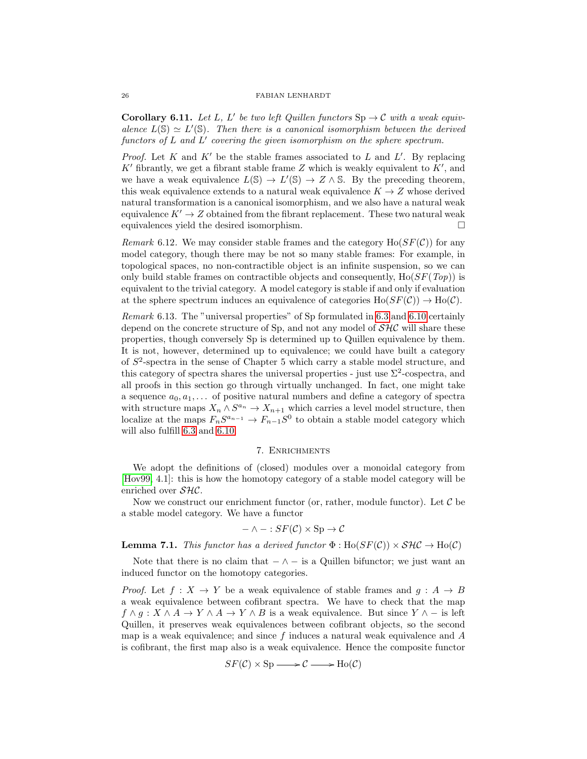**Corollary 6.11.** Let L, L' be two left Quillen functors  $\text{Sp} \to \mathcal{C}$  with a weak equivalence  $L(S) \simeq L'(S)$ . Then there is a canonical isomorphism between the derived functors of  $L$  and  $L'$  covering the given isomorphism on the sphere spectrum.

*Proof.* Let K and K' be the stable frames associated to L and L'. By replacing K' fibrantly, we get a fibrant stable frame  $Z$  which is weakly equivalent to  $K'$ , and we have a weak equivalence  $L(S) \to L'(S) \to Z \wedge S$ . By the preceding theorem, this weak equivalence extends to a natural weak equivalence  $K \to Z$  whose derived natural transformation is a canonical isomorphism, and we also have a natural weak equivalence  $K' \to Z$  obtained from the fibrant replacement. These two natural weak equivalences yield the desired isomorphism.

Remark 6.12. We may consider stable frames and the category  $\text{Ho}(SF(\mathcal{C}))$  for any model category, though there may be not so many stable frames: For example, in topological spaces, no non-contractible object is an infinite suspension, so we can only build stable frames on contractible objects and consequently,  $Ho(SF(Top))$  is equivalent to the trivial category. A model category is stable if and only if evaluation at the sphere spectrum induces an equivalence of categories  $\text{Ho}(SF(\mathcal{C})) \to \text{Ho}(\mathcal{C})$ .

Remark 6.13. The "universal properties" of Sp formulated in [6.3](#page-20-0) and [6.10](#page-22-0) certainly depend on the concrete structure of Sp, and not any model of  $\mathcal{SHC}$  will share these properties, though conversely Sp is determined up to Quillen equivalence by them. It is not, however, determined up to equivalence; we could have built a category of S 2 -spectra in the sense of Chapter 5 which carry a stable model structure, and this category of spectra shares the universal properties - just use  $\Sigma^2$ -cospectra, and all proofs in this section go through virtually unchanged. In fact, one might take a sequence  $a_0, a_1, \ldots$  of positive natural numbers and define a category of spectra with structure maps  $X_n \wedge S^{a_n} \to X_{n+1}$  which carries a level model structure, then localize at the maps  $F_nS^{a_{n-1}} \to F_{n-1}S^0$  to obtain a stable model category which will also fulfill [6.3](#page-20-0) and [6.10.](#page-22-0)

## 7. Enrichments

We adopt the definitions of (closed) modules over a monoidal category from [\[Hov99,](#page-37-2) 4.1]: this is how the homotopy category of a stable model category will be enriched over SHC.

Now we construct our enrichment functor (or, rather, module functor). Let  $\mathcal C$  be a stable model category. We have a functor

$$
- \wedge - : SF(\mathcal{C}) \times Sp \rightarrow \mathcal{C}
$$

**Lemma 7.1.** This functor has a derived functor  $\Phi : Ho(SF(\mathcal{C})) \times SH\mathcal{C} \to Ho(\mathcal{C})$ 

Note that there is no claim that  $-\wedge -$  is a Quillen bifunctor; we just want an induced functor on the homotopy categories.

*Proof.* Let  $f: X \to Y$  be a weak equivalence of stable frames and  $g: A \to B$ a weak equivalence between cofibrant spectra. We have to check that the map  $f \wedge g : X \wedge A \to Y \wedge A \to Y \wedge B$  is a weak equivalence. But since  $Y \wedge -$  is left Quillen, it preserves weak equivalences between cofibrant objects, so the second map is a weak equivalence; and since  $f$  induces a natural weak equivalence and  $A$ is cofibrant, the first map also is a weak equivalence. Hence the composite functor

$$
SF(\mathcal{C}) \times \text{Sp} \longrightarrow \mathcal{C} \longrightarrow \text{Ho}(\mathcal{C})
$$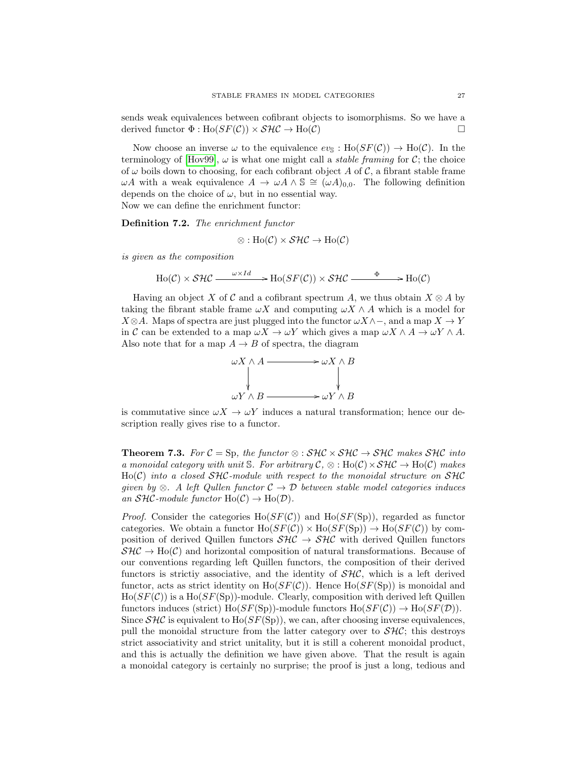sends weak equivalences between cofibrant objects to isomorphisms. So we have a derived functor  $\Phi : Ho(SF(\mathcal{C})) \times \mathcal{SHC} \to Ho(\mathcal{C})$ 

Now choose an inverse  $\omega$  to the equivalence  $ev_{\mathbb{S}} : Ho(SF(\mathcal{C})) \to Ho(\mathcal{C})$ . In the terminology of [\[Hov99\]](#page-37-2),  $\omega$  is what one might call a *stable framing* for C; the choice of  $\omega$  boils down to choosing, for each cofibrant object A of C, a fibrant stable frame  $ωA$  with a weak equivalence  $A → ωA ∧ ℑ ≅ (ωA)<sub>0.0</sub>$ . The following definition depends on the choice of  $\omega$ , but in no essential way. Now we can define the enrichment functor:

Definition 7.2. The enrichment functor

$$
\otimes : Ho(\mathcal{C}) \times \mathcal{SHC} \to Ho(\mathcal{C})
$$

is given as the composition

$$
Ho(\mathcal{C}) \times \mathcal{SHC} \xrightarrow{\omega \times Id} \text{Ho}(SF(\mathcal{C})) \times \mathcal{SHC} \xrightarrow{\Phi} Ho(\mathcal{C})
$$

Having an object X of C and a cofibrant spectrum A, we thus obtain  $X \otimes A$  by taking the fibrant stable frame  $\omega X$  and computing  $\omega X \wedge A$  which is a model for  $X \otimes A$ . Maps of spectra are just plugged into the functor  $\omega X \wedge \neg$ , and a map  $X \to Y$ in C can be extended to a map  $\omega X \to \omega Y$  which gives a map  $\omega X \wedge A \to \omega Y \wedge A$ . Also note that for a map  $A \to B$  of spectra, the diagram



is commutative since  $\omega X \to \omega Y$  induces a natural transformation; hence our description really gives rise to a functor.

**Theorem 7.3.** For  $C = Sp$ , the functor  $\otimes : SHC \times SHC \rightarrow SHC$  makes  $SHC$  into a monoidal category with unit S. For arbitrary  $\mathcal{C}, \otimes : Ho(\mathcal{C}) \times \mathcal{SHC} \rightarrow Ho(\mathcal{C})$  makes  $Ho(\mathcal{C})$  into a closed  $SHC$ -module with respect to the monoidal structure on  $SHC$ given by ⊗. A left Qullen functor  $C \rightarrow \mathcal{D}$  between stable model categories induces an  $\mathcal{SHC}\text{-module functor } Ho(\mathcal{C}) \to Ho(\mathcal{D}).$ 

*Proof.* Consider the categories  $Ho(SF(\mathcal{C}))$  and  $Ho(SF(\text{Sp}))$ , regarded as functor categories. We obtain a functor  $\text{Ho}(SF(\mathcal{C})) \times \text{Ho}(SF(\text{Sp})) \rightarrow \text{Ho}(SF(\mathcal{C}))$  by composition of derived Quillen functors  $\mathcal{SHC} \to \mathcal{SHC}$  with derived Quillen functors  $\mathcal{SHC} \to Ho(\mathcal{C})$  and horizontal composition of natural transformations. Because of our conventions regarding left Quillen functors, the composition of their derived functors is strictiv associative, and the identity of  $SHC$ , which is a left derived functor, acts as strict identity on  $Ho(SF(\mathcal{C}))$ . Hence  $Ho(SF(\text{Sp}))$  is monoidal and  $Ho(SF(\mathcal{C}))$  is a Ho $(SF(Sp))$ -module. Clearly, composition with derived left Quillen functors induces (strict) Ho( $SF(Sp)$ )-module functors Ho( $SF(\mathcal{C})$ )  $\rightarrow$  Ho( $SF(\mathcal{D})$ ). Since  $\mathcal{SHC}$  is equivalent to Ho( $SF(Sp)$ ), we can, after choosing inverse equivalences, pull the monoidal structure from the latter category over to  $\mathcal{SHC}$ ; this destroys strict associativity and strict unitality, but it is still a coherent monoidal product, and this is actually the definition we have given above. That the result is again a monoidal category is certainly no surprise; the proof is just a long, tedious and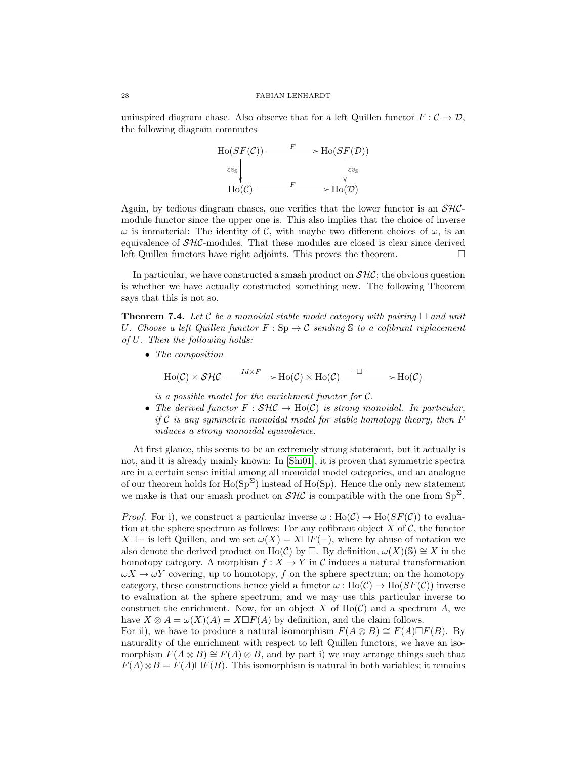uninspired diagram chase. Also observe that for a left Quillen functor  $F : \mathcal{C} \to \mathcal{D}$ , the following diagram commutes



Again, by tedious diagram chases, one verifies that the lower functor is an  $\mathcal{SHC}$ module functor since the upper one is. This also implies that the choice of inverse  $\omega$  is immaterial: The identity of C, with maybe two different choices of  $\omega$ , is an equivalence of  $\mathcal{SHC}\text{-modules}$ . That these modules are closed is clear since derived left Quillen functors have right adjoints. This proves the theorem.

In particular, we have constructed a smash product on  $\mathcal{SHC}$ ; the obvious question is whether we have actually constructed something new. The following Theorem says that this is not so.

<span id="page-27-0"></span>**Theorem 7.4.** Let C be a monoidal stable model category with pairing  $\Box$  and unit U. Choose a left Quillen functor  $F : Sp \to \mathcal{C}$  sending S to a cofibrant replacement of U. Then the following holds:

• The composition

$$
Ho(\mathcal{C}) \times \mathcal{SHC} \xrightarrow{Id \times F} Ho(\mathcal{C}) \times Ho(\mathcal{C}) \xrightarrow{-\square-} Ho(\mathcal{C})
$$

is a possible model for the enrichment functor for  $C$ .

• The derived functor  $F : SHC \to Ho(C)$  is strong monoidal. In particular, if C is any symmetric monoidal model for stable homotopy theory, then  $F$ induces a strong monoidal equivalence.

At first glance, this seems to be an extremely strong statement, but it actually is not, and it is already mainly known: In [\[Shi01\]](#page-37-4), it is proven that symmetric spectra are in a certain sense initial among all monoidal model categories, and an analogue of our theorem holds for  $\text{Ho}(\text{Sp}^{\Sigma})$  instead of  $\text{Ho}(\text{Sp})$ . Hence the only new statement we make is that our smash product on  $\mathcal{SHC}$  is compatible with the one from  $Sp^{\Sigma}$ .

*Proof.* For i), we construct a particular inverse  $\omega : Ho(\mathcal{C}) \to Ho(SF(\mathcal{C}))$  to evaluation at the sphere spectrum as follows: For any cofibrant object  $X$  of  $\mathcal{C}$ , the functor X $\Box$ − is left Quillen, and we set  $\omega(X) = X \Box F(-)$ , where by abuse of notation we also denote the derived product on Ho(C) by  $\Box$ . By definition,  $\omega(X)(\mathbb{S}) \cong X$  in the homotopy category. A morphism  $f: X \to Y$  in C induces a natural transformation  $\omega X \rightarrow \omega Y$  covering, up to homotopy, f on the sphere spectrum; on the homotopy category, these constructions hence yield a functor  $\omega : Ho(\mathcal{C}) \to Ho(SF(\mathcal{C}))$  inverse to evaluation at the sphere spectrum, and we may use this particular inverse to construct the enrichment. Now, for an object X of  $Ho(\mathcal{C})$  and a spectrum A, we have  $X \otimes A = \omega(X)(A) = X \square F(A)$  by definition, and the claim follows.

For ii), we have to produce a natural isomorphism  $F(A \otimes B) \cong F(A) \square F(B)$ . By naturality of the enrichment with respect to left Quillen functors, we have an isomorphism  $F(A \otimes B) \cong F(A) \otimes B$ , and by part i) we may arrange things such that  $F(A) \otimes B = F(A) \square F(B)$ . This isomorphism is natural in both variables; it remains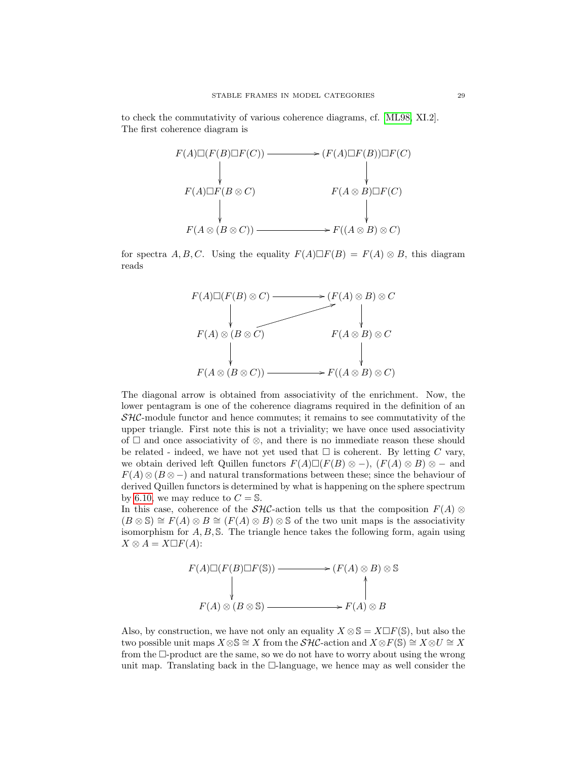to check the commutativity of various coherence diagrams, cf. [\[ML98,](#page-37-10) XI.2]. The first coherence diagram is



for spectra A, B, C. Using the equality  $F(A) \square F(B) = F(A) \otimes B$ , this diagram reads



The diagonal arrow is obtained from associativity of the enrichment. Now, the lower pentagram is one of the coherence diagrams required in the definition of an  $\mathcal{SHC}$ -module functor and hence commutes; it remains to see commutativity of the upper triangle. First note this is not a triviality; we have once used associativity of  $□$  and once associativity of  $\otimes$ , and there is no immediate reason these should be related - indeed, we have not yet used that  $\square$  is coherent. By letting C vary, we obtain derived left Quillen functors  $F(A)\Box(F(B)\otimes -)$ ,  $(F(A)\otimes B)\otimes -$  and  $F(A) \otimes (B \otimes -)$  and natural transformations between these; since the behaviour of derived Quillen functors is determined by what is happening on the sphere spectrum by [6.10,](#page-22-0) we may reduce to  $C = S$ .

In this case, coherence of the  $\mathcal{SHC}$ -action tells us that the composition  $F(A) \otimes$  $(B \otimes S) \cong F(A) \otimes B \cong (F(A) \otimes B) \otimes S$  of the two unit maps is the associativity isomorphism for  $A, B, \mathbb{S}$ . The triangle hence takes the following form, again using  $X \otimes A = X \square F(A)$ :

$$
F(A)\Box(F(B)\Box F(\mathbb{S})) \longrightarrow (F(A) \otimes B) \otimes \mathbb{S}
$$
  
\n
$$
F(A) \otimes (B \otimes \mathbb{S}) \longrightarrow F(A) \otimes B
$$

Also, by construction, we have not only an equality  $X \otimes \mathbb{S} = X \square F(\mathbb{S})$ , but also the two possible unit maps  $X \otimes \mathbb{S} \cong X$  from the  $\mathcal{SHC}$ -action and  $X \otimes F(\mathbb{S}) \cong X \otimes U \cong X$ from the  $\Box$ -product are the same, so we do not have to worry about using the wrong unit map. Translating back in the  $\Box$ -language, we hence may as well consider the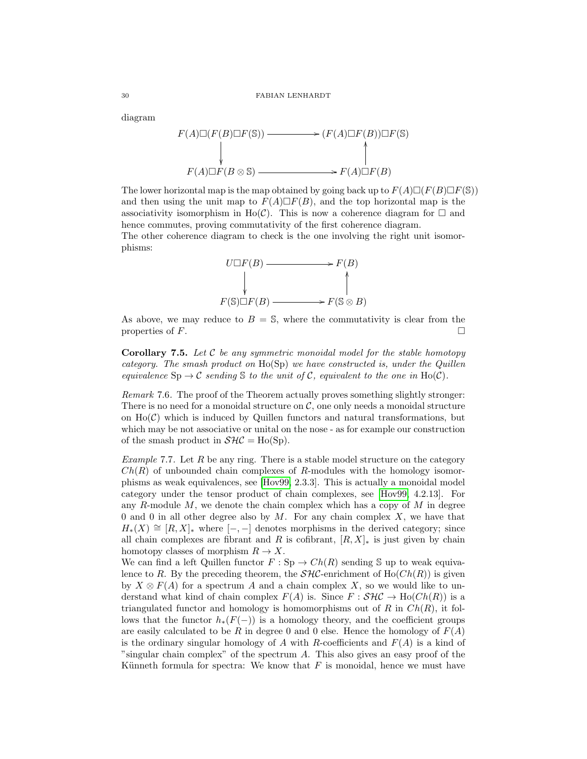diagram

$$
F(A)\Box(F(B)\Box F(\mathbb{S})) \longrightarrow (F(A)\Box F(B))\Box F(\mathbb{S})
$$
  
\n
$$
\downarrow \qquad \qquad \downarrow
$$
  
\n
$$
F(A)\Box F(B \otimes \mathbb{S}) \longrightarrow F(A)\Box F(B)
$$

The lower horizontal map is the map obtained by going back up to  $F(A)\Box(F(B)\Box F(\mathbb{S}))$ and then using the unit map to  $F(A) \square F(B)$ , and the top horizontal map is the associativity isomorphism in Ho(C). This is now a coherence diagram for  $\Box$  and hence commutes, proving commutativity of the first coherence diagram. The other coherence diagram to check is the one involving the right unit isomorphisms:



As above, we may reduce to  $B = S$ , where the commutativity is clear from the properties of  $F$ .

**Corollary 7.5.** Let  $\mathcal{C}$  be any symmetric monoidal model for the stable homotopy category. The smash product on  $Ho(\text{Sp})$  we have constructed is, under the Quillen equivalence  $\text{Sp} \to \mathcal{C}$  sending  $\mathcal S$  to the unit of  $\mathcal C$ , equivalent to the one in Ho( $\mathcal C$ ).

Remark 7.6. The proof of the Theorem actually proves something slightly stronger: There is no need for a monoidal structure on  $C$ , one only needs a monoidal structure on  $Ho(\mathcal{C})$  which is induced by Quillen functors and natural transformations, but which may be not associative or unital on the nose - as for example our construction of the smash product in  $\mathcal{SHC} = Ho(Sp)$ .

Example 7.7. Let  $R$  be any ring. There is a stable model structure on the category  $Ch(R)$  of unbounded chain complexes of R-modules with the homology isomorphisms as weak equivalences, see [\[Hov99,](#page-37-2) 2.3.3]. This is actually a monoidal model category under the tensor product of chain complexes, see [\[Hov99,](#page-37-2) 4.2.13]. For any  $R$ -module  $M$ , we denote the chain complex which has a copy of  $M$  in degree 0 and 0 in all other degree also by  $M$ . For any chain complex  $X$ , we have that  $H_*(X) \cong [R, X]_*$  where  $[-, -]$  denotes morphisms in the derived category; since all chain complexes are fibrant and R is cofibrant,  $[R, X]_{\ast}$  is just given by chain homotopy classes of morphism  $R \to X$ .

We can find a left Quillen functor  $F : Sp \to Ch(R)$  sending S up to weak equivalence to R. By the preceding theorem, the  $\mathcal{SHC}$ -enrichment of  $Ho(Ch(R))$  is given by  $X \otimes F(A)$  for a spectrum A and a chain complex X, so we would like to understand what kind of chain complex  $F(A)$  is. Since  $F : \mathcal{SHC} \to Ho(Ch(R))$  is a triangulated functor and homology is homomorphisms out of R in  $Ch(R)$ , it follows that the functor  $h_*(F(-))$  is a homology theory, and the coefficient groups are easily calculated to be R in degree 0 and 0 else. Hence the homology of  $F(A)$ is the ordinary singular homology of A with R-coefficients and  $F(A)$  is a kind of "singular chain complex" of the spectrum A. This also gives an easy proof of the Künneth formula for spectra: We know that  $F$  is monoidal, hence we must have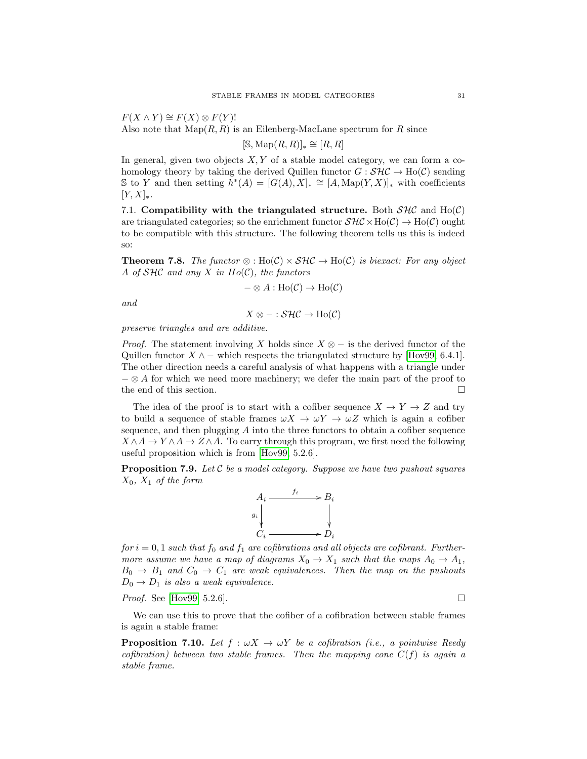$F(X \wedge Y) \cong F(X) \otimes F(Y)!$ Also note that  $\text{Map}(R, R)$  is an Eilenberg-MacLane spectrum for R since

$$
[\mathbb{S}, \operatorname{Map}(R, R)]_* \cong [R, R]
$$

In general, given two objects  $X, Y$  of a stable model category, we can form a cohomology theory by taking the derived Quillen functor  $G : \mathcal{SHC} \to Ho(\mathcal{C})$  sending S to Y and then setting  $\tilde{h}^*(A) = [G(A), X]_* \cong [A, \text{Map}(Y, X)]_*$  with coefficients  $[Y, X]_*$ .

7.1. Compatibility with the triangulated structure. Both  $SHC$  and  $Ho(C)$ are triangulated categories; so the enrichment functor  $\mathcal{SHC} \times \text{Ho}(\mathcal{C}) \to \text{Ho}(\mathcal{C})$  ought to be compatible with this structure. The following theorem tells us this is indeed so:

<span id="page-30-1"></span>**Theorem 7.8.** The functor  $\otimes$ : Ho(C)  $\times$  SHC  $\rightarrow$  Ho(C) is biexact: For any object A of  $SHC$  and any X in  $Ho(C)$ , the functors

$$
-\otimes A : \text{Ho}(\mathcal{C}) \to \text{Ho}(\mathcal{C})
$$

and

$$
X\otimes - :\mathcal{SHC}\to \text{Ho}({\mathcal {C}})
$$

preserve triangles and are additive.

*Proof.* The statement involving X holds since  $X \otimes -$  is the derived functor of the Quillen functor  $X \wedge -$  which respects the triangulated structure by [\[Hov99,](#page-37-2) 6.4.1]. The other direction needs a careful analysis of what happens with a triangle under  $-\otimes A$  for which we need more machinery; we defer the main part of the proof to the end of this section.  $\Box$ 

The idea of the proof is to start with a cofiber sequence  $X \to Y \to Z$  and try to build a sequence of stable frames  $\omega X \to \omega Y \to \omega Z$  which is again a cofiber sequence, and then plugging  $\tilde{A}$  into the three functors to obtain a cofiber sequence  $X \wedge A \to Y \wedge A \to Z \wedge A$ . To carry through this program, we first need the following useful proposition which is from [\[Hov99,](#page-37-2) 5.2.6].

<span id="page-30-0"></span>**Proposition 7.9.** Let  $\mathcal C$  be a model category. Suppose we have two pushout squares  $X_0$ ,  $X_1$  of the form



 $for i = 0, 1$  such that  $f_0$  and  $f_1$  are cofibrations and all objects are cofibrant. Furthermore assume we have a map of diagrams  $X_0 \to X_1$  such that the maps  $A_0 \to A_1$ ,  $B_0 \rightarrow B_1$  and  $C_0 \rightarrow C_1$  are weak equivalences. Then the map on the pushouts  $D_0 \rightarrow D_1$  is also a weak equivalence.

*Proof.* See [\[Hov99,](#page-37-2) 5.2.6].

We can use this to prove that the cofiber of a cofibration between stable frames is again a stable frame:

**Proposition 7.10.** Let  $f : \omega X \to \omega Y$  be a cofibration (i.e., a pointwise Reedy cofibration) between two stable frames. Then the mapping cone  $C(f)$  is again a stable frame.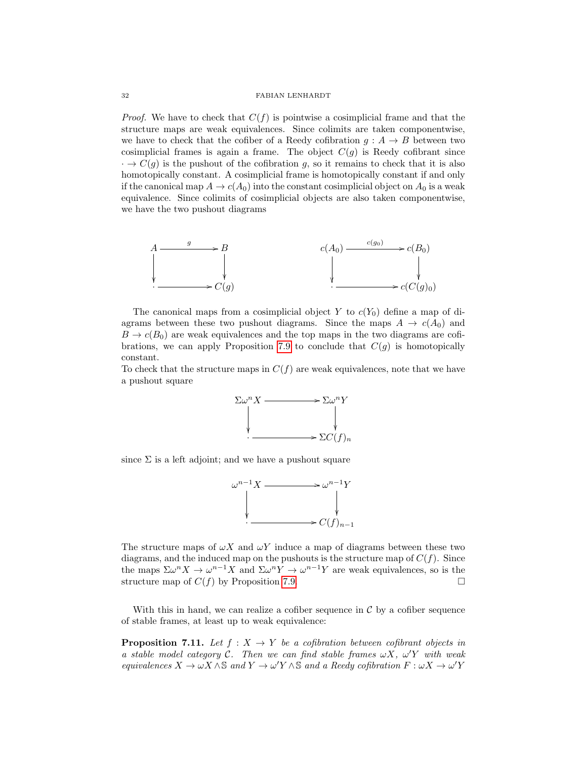*Proof.* We have to check that  $C(f)$  is pointwise a cosimplicial frame and that the structure maps are weak equivalences. Since colimits are taken componentwise, we have to check that the cofiber of a Reedy cofibration  $g : A \rightarrow B$  between two cosimplicial frames is again a frame. The object  $C(g)$  is Reedy cofibrant since  $\cdot \rightarrow C(g)$  is the pushout of the cofibration g, so it remains to check that it is also homotopically constant. A cosimplicial frame is homotopically constant if and only if the canonical map  $A \to c(A_0)$  into the constant cosimplicial object on  $A_0$  is a weak equivalence. Since colimits of cosimplicial objects are also taken componentwise, we have the two pushout diagrams



The canonical maps from a cosimplicial object Y to  $c(Y_0)$  define a map of diagrams between these two pushout diagrams. Since the maps  $A \to c(A_0)$  and  $B \to c(B_0)$  are weak equivalences and the top maps in the two diagrams are cofi-brations, we can apply Proposition [7.9](#page-30-0) to conclude that  $C(q)$  is homotopically constant.

To check that the structure maps in  $C(f)$  are weak equivalences, note that we have a pushout square



since  $\Sigma$  is a left adjoint; and we have a pushout square



The structure maps of  $\omega X$  and  $\omega Y$  induce a map of diagrams between these two diagrams, and the induced map on the pushouts is the structure map of  $C(f)$ . Since the maps  $\Sigma \omega^n X \to \omega^{n-1} X$  and  $\Sigma \omega^n Y \to \omega^{n-1} Y$  are weak equivalences, so is the structure map of  $C(f)$  by Proposition [7.9.](#page-30-0)

With this in hand, we can realize a cofiber sequence in  $\mathcal C$  by a cofiber sequence of stable frames, at least up to weak equivalence:

**Proposition 7.11.** Let  $f : X \to Y$  be a cofibration between cofibrant objects in a stable model category C. Then we can find stable frames  $\omega X$ ,  $\omega' Y$  with weak equivalences  $X \to \omega X \wedge \mathbb{S}$  and  $Y \to \omega' Y \wedge \mathbb{S}$  and a Reedy cofibration  $F : \omega X \to \omega' Y$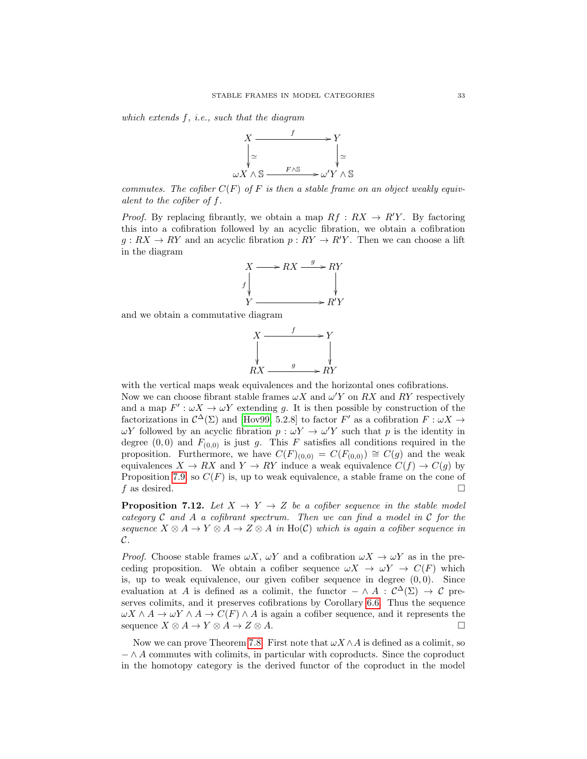which extends f, i.e., such that the diagram



commutes. The cofiber  $C(F)$  of F is then a stable frame on an object weakly equivalent to the cofiber of f.

*Proof.* By replacing fibrantly, we obtain a map  $Rf: RX \rightarrow R'Y$ . By factoring this into a cofibration followed by an acyclic fibration, we obtain a cofibration  $g: RX \to RY$  and an acyclic fibration  $p: RY \to R'Y$ . Then we can choose a lift in the diagram



and we obtain a commutative diagram



with the vertical maps weak equivalences and the horizontal ones cofibrations. Now we can choose fibrant stable frames  $\omega X$  and  $\omega' Y$  on RX and RY respectively and a map  $F' : \omega X \to \omega Y$  extending g. It is then possible by construction of the factorizations in  $\mathcal{C}^{\Delta}(\Sigma)$  and [\[Hov99,](#page-37-2) 5.2.8] to factor F' as a cofibration  $F : \omega X \to$  $ωY$  followed by an acyclic fibration  $p: ωY \rightarrow ω'Y$  such that p is the identity in degree  $(0,0)$  and  $F_{(0,0)}$  is just g. This F satisfies all conditions required in the proposition. Furthermore, we have  $C(F)_{(0,0)} = C(F_{(0,0)}) \cong C(g)$  and the weak equivalences  $X \to RX$  and  $Y \to RY$  induce a weak equivalence  $C(f) \to C(g)$  by Proposition [7.9,](#page-30-0) so  $C(F)$  is, up to weak equivalence, a stable frame on the cone of f as desired.  $\Box$ 

**Proposition 7.12.** Let  $X \rightarrow Y \rightarrow Z$  be a cofiber sequence in the stable model category  $C$  and  $A$  a cofibrant spectrum. Then we can find a model in  $C$  for the sequence  $X \otimes A \to Y \otimes A \to Z \otimes A$  in Ho(C) which is again a cofiber sequence in  $\mathcal{C}.$ 

*Proof.* Choose stable frames  $\omega X$ ,  $\omega Y$  and a cofibration  $\omega X \to \omega Y$  as in the preceding proposition. We obtain a cofiber sequence  $\omega X \to \omega Y \to C(F)$  which is, up to weak equivalence, our given cofiber sequence in degree  $(0, 0)$ . Since evaluation at A is defined as a colimit, the functor  $-\wedge A : \mathcal{C}^{\Delta}(\Sigma) \to \mathcal{C}$  preserves colimits, and it preserves cofibrations by Corollary [6.6.](#page-21-1) Thus the sequence  $\omega X \wedge A \to \omega Y \wedge A \to C(F) \wedge A$  is again a cofiber sequence, and it represents the sequence  $X \otimes A \to Y \otimes A \to Z \otimes A$ .

Now we can prove Theorem [7.8.](#page-30-1) First note that  $\omega X \wedge A$  is defined as a colimit, so  $-\wedge A$  commutes with colimits, in particular with coproducts. Since the coproduct in the homotopy category is the derived functor of the coproduct in the model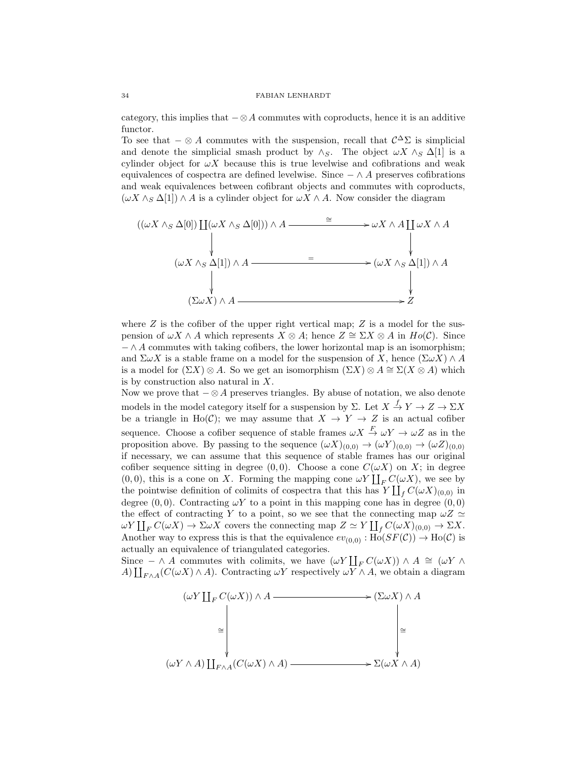category, this implies that  $-\otimes A$  commutes with coproducts, hence it is an additive functor.

To see that  $-\otimes A$  commutes with the suspension, recall that  $\mathcal{C}^{\Delta} \Sigma$  is simplicial and denote the simplicial smash product by  $\wedge_S$ . The object  $\omega X \wedge_S \Delta[1]$  is a cylinder object for  $\omega X$  because this is true levelwise and cofibrations and weak equivalences of cospectra are defined levelwise. Since  $-\wedge A$  preserves cofibrations and weak equivalences between cofibrant objects and commutes with coproducts,  $(\omega X \wedge_S \Delta[1]) \wedge A$  is a cylinder object for  $\omega X \wedge A$ . Now consider the diagram

$$
((\omega X \wedge_S \Delta[0]) \coprod (\omega X \wedge_S \Delta[0])) \wedge A \xrightarrow{\cong} \omega X \wedge A \coprod \omega X \wedge A
$$
\n
$$
(\omega X \wedge_S \Delta[1]) \wedge A \xrightarrow{\cong} (\omega X \wedge_S \Delta[1]) \wedge A
$$
\n
$$
(\Sigma \omega X) \wedge A \xrightarrow{\vee}
$$
\n
$$
Z
$$

where  $Z$  is the cofiber of the upper right vertical map;  $Z$  is a model for the suspension of  $\omega X \wedge A$  which represents  $X \otimes A$ ; hence  $Z \cong \Sigma X \otimes A$  in  $Ho(\mathcal{C})$ . Since  $-\wedge A$  commutes with taking cofibers, the lower horizontal map is an isomorphism; and  $\Sigma \omega X$  is a stable frame on a model for the suspension of X, hence  $(\Sigma \omega X) \wedge A$ is a model for  $(\Sigma X) \otimes A$ . So we get an isomorphism  $(\Sigma X) \otimes A \cong \Sigma(X \otimes A)$  which is by construction also natural in X.

Now we prove that  $-\otimes A$  preserves triangles. By abuse of notation, we also denote models in the model category itself for a suspension by  $\Sigma$ . Let  $X \stackrel{f}{\to} Y \to Z \to \Sigma X$ be a triangle in Ho(C); we may assume that  $X \to Y \to Z$  is an actual cofiber sequence. Choose a cofiber sequence of stable frames  $\omega X \stackrel{F}{\to} \omega Y \to \omega Z$  as in the proposition above. By passing to the sequence  $(\omega X)_{(0,0)} \to (\omega Y)_{(0,0)} \to (\omega Z)_{(0,0)}$ if necessary, we can assume that this sequence of stable frames has our original cofiber sequence sitting in degree (0,0). Choose a cone  $C(\omega X)$  on X; in degree  $(0, 0)$ , this is a cone on X. Forming the mapping cone  $\omega Y \coprod_F C(\omega X)$ , we see by the pointwise definition of colimits of cospectra that this has  $Y \coprod_f C(\omega X)_{(0,0)}$  in degree  $(0,0)$ . Contracting  $\omega Y$  to a point in this mapping cone has in degree  $(0,0)$ the effect of contracting Y to a point, so we see that the connecting map  $\omega Z \simeq$  $\omega Y \coprod_F C(\omega X) \to \Sigma \omega X$  covers the connecting map  $Z \simeq Y \coprod_f C(\omega X)_{(0,0)} \to \Sigma X$ . Another way to express this is that the equivalence  $ev_{(0,0)} : Ho(SF(\mathcal{C})) \to Ho(\mathcal{C})$  is actually an equivalence of triangulated categories.

Since  $-\wedge A$  commutes with colimits, we have  $(\omega Y \coprod_F C(\omega X)) \wedge A \cong (\omega Y \wedge A)$ A)  $\coprod_{F \wedge A} (C(\omega X) \wedge A)$ . Contracting  $\omega Y$  respectively  $\omega Y \wedge A$ , we obtain a diagram

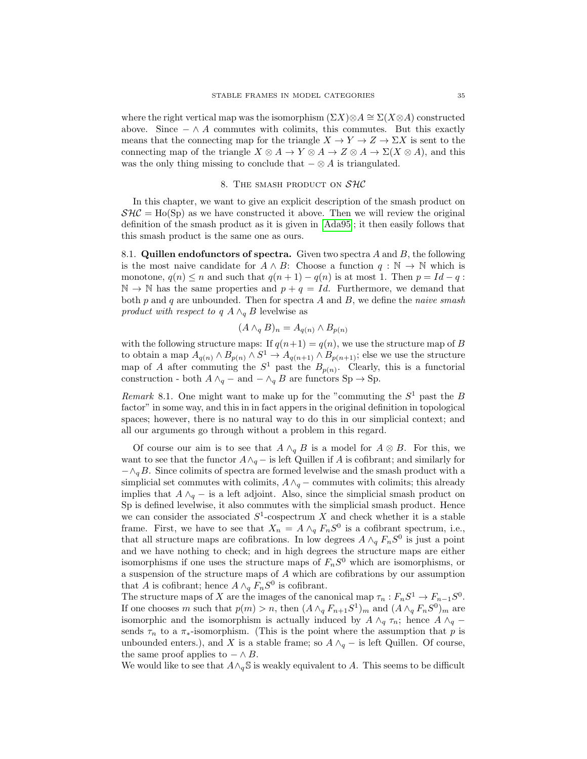where the right vertical map was the isomorphism  $(\Sigma X)\otimes A \cong \Sigma(X\otimes A)$  constructed above. Since  $-\wedge A$  commutes with colimits, this commutes. But this exactly means that the connecting map for the triangle  $X \to Y \to Z \to \Sigma X$  is sent to the connecting map of the triangle  $X \otimes A \to Y \otimes A \to Z \otimes A \to \Sigma(X \otimes A)$ , and this was the only thing missing to conclude that  $-\otimes A$  is triangulated.

## 8. THE SMASH PRODUCT ON  $SAC$

In this chapter, we want to give an explicit description of the smash product on  $\mathcal{S}H\mathcal{C} =$  Ho(Sp) as we have constructed it above. Then we will review the original definition of the smash product as it is given in [\[Ada95\]](#page-36-5); it then easily follows that this smash product is the same one as ours.

8.1. Quillen endofunctors of spectra. Given two spectra  $A$  and  $B$ , the following is the most naive candidate for  $A \wedge B$ : Choose a function  $q : \mathbb{N} \to \mathbb{N}$  which is monotone,  $q(n) \leq n$  and such that  $q(n + 1) - q(n)$  is at most 1. Then  $p = Id - q$ :  $\mathbb{N} \to \mathbb{N}$  has the same properties and  $p + q = Id$ . Furthermore, we demand that both  $p$  and  $q$  are unbounded. Then for spectra  $A$  and  $B$ , we define the *naive smash* product with respect to q  $A \wedge_{q} B$  levelwise as

$$
(A \wedge_q B)_n = A_{q(n)} \wedge B_{p(n)}
$$

with the following structure maps: If  $q(n+1) = q(n)$ , we use the structure map of B to obtain a map  $A_{q(n)} \wedge B_{p(n)} \wedge S^1 \to A_{q(n+1)} \wedge B_{p(n+1)}$ ; else we use the structure map of A after commuting the  $S^1$  past the  $B_{p(n)}$ . Clearly, this is a functorial construction - both  $A \wedge_q -$  and  $-\wedge_q B$  are functors Sp  $\rightarrow$  Sp.

Remark 8.1. One might want to make up for the "commuting the  $S^1$  past the B factor" in some way, and this in in fact appers in the original definition in topological spaces; however, there is no natural way to do this in our simplicial context; and all our arguments go through without a problem in this regard.

Of course our aim is to see that  $A \wedge_q B$  is a model for  $A \otimes B$ . For this, we want to see that the functor  $A \wedge_q -$  is left Quillen if A is cofibrant; and similarly for  $-\wedge_q B$ . Since colimits of spectra are formed levelwise and the smash product with a simplicial set commutes with colimits,  $A \wedge_q -$  commutes with colimits; this already implies that  $A \wedge_{q} -$  is a left adjoint. Also, since the simplicial smash product on Sp is defined levelwise, it also commutes with the simplicial smash product. Hence we can consider the associated  $S^1$ -cospectrum X and check whether it is a stable frame. First, we have to see that  $X_n = A \wedge_q F_nS^0$  is a cofibrant spectrum, i.e., that all structure maps are cofibrations. In low degrees  $A \wedge_q F_nS^0$  is just a point and we have nothing to check; and in high degrees the structure maps are either isomorphisms if one uses the structure maps of  $F_nS^0$  which are isomorphisms, or a suspension of the structure maps of A which are cofibrations by our assumption that A is cofibrant; hence  $A \wedge_q F_nS^0$  is cofibrant.

The structure maps of X are the images of the canonical map  $\tau_n : F_n S^1 \to F_{n-1} S^0$ . If one chooses m such that  $p(m) > n$ , then  $(A \wedge_q F_{n+1} S^1)_m$  and  $(A \wedge_q F_n S^0)_m$  are isomorphic and the isomorphism is actually induced by  $A \wedge_q \tau_n$ ; hence  $A \wedge_q$ sends  $\tau_n$  to a  $\pi_*$ -isomorphism. (This is the point where the assumption that p is unbounded enters.), and X is a stable frame; so  $A \wedge_q -$  is left Quillen. Of course, the same proof applies to  $-\wedge B$ .

We would like to see that  $A \wedge_q \mathbb{S}$  is weakly equivalent to A. This seems to be difficult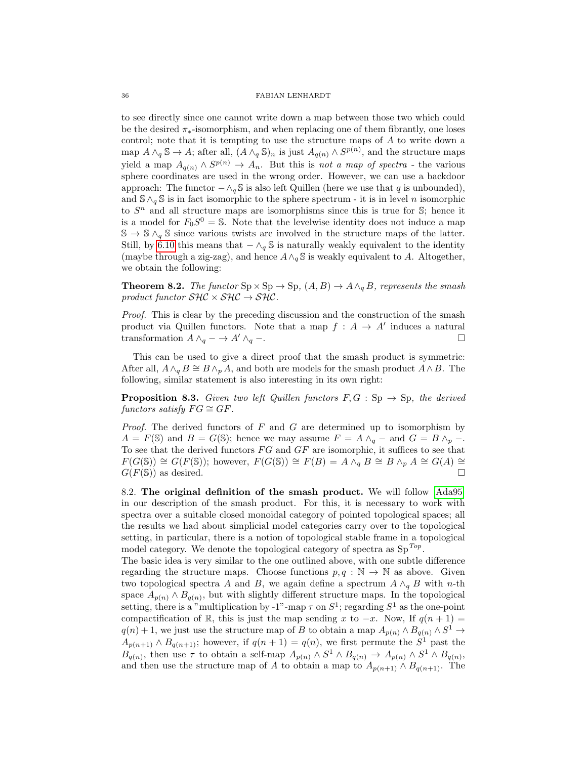to see directly since one cannot write down a map between those two which could be the desired  $\pi_*$ -isomorphism, and when replacing one of them fibrantly, one loses control; note that it is tempting to use the structure maps of A to write down a map  $A \wedge_q \mathbb{S} \to A$ ; after all,  $(A \wedge_q \mathbb{S})_n$  is just  $A_{q(n)} \wedge S^{p(n)}$ , and the structure maps yield a map  $A_{q(n)} \wedge S^{p(n)} \to A_n$ . But this is not a map of spectra - the various sphere coordinates are used in the wrong order. However, we can use a backdoor approach: The functor  $-\wedge_q \mathbb{S}$  is also left Quillen (here we use that q is unbounded), and  $\mathcal{S} \wedge_q \mathcal{S}$  is in fact isomorphic to the sphere spectrum - it is in level n isomorphic to  $S<sup>n</sup>$  and all structure maps are isomorphisms since this is true for S; hence it is a model for  $F_0S^0 = \mathbb{S}$ . Note that the levelwise identity does not induce a map  $\mathbb{S} \to \mathbb{S} \wedge_q \mathbb{S}$  since various twists are involved in the structure maps of the latter. Still, by [6.10](#page-22-0) this means that  $-\wedge_q \mathbb{S}$  is naturally weakly equivalent to the identity (maybe through a zig-zag), and hence  $A \wedge_{q} \mathbb{S}$  is weakly equivalent to A. Altogether, we obtain the following:

**Theorem 8.2.** The functor  $Sp \times Sp \to Sp$ ,  $(A, B) \to A \wedge_{q} B$ , represents the smash product functor  $\mathcal{SHC} \times \mathcal{SHC} \rightarrow \mathcal{SHC}$ .

Proof. This is clear by the preceding discussion and the construction of the smash product via Quillen functors. Note that a map  $f : A \to A'$  induces a natural transformation  $A \wedge_q \longrightarrow A' \wedge_q \longrightarrow$ 

This can be used to give a direct proof that the smash product is symmetric: After all,  $A \wedge_q B \cong B \wedge_p A$ , and both are models for the smash product  $A \wedge B$ . The following, similar statement is also interesting in its own right:

**Proposition 8.3.** Given two left Quillen functors  $F, G : Sp \to Sp$ , the derived functors satisfy  $FG \cong GF$ .

*Proof.* The derived functors of  $F$  and  $G$  are determined up to isomorphism by  $A = F(\mathbb{S})$  and  $B = G(\mathbb{S})$ ; hence we may assume  $F = A \wedge_q -$  and  $G = B \wedge_p -$ . To see that the derived functors  $FG$  and  $GF$  are isomorphic, it suffices to see that  $F(G(\mathbb{S})) \cong G(F(\mathbb{S}))$ ; however,  $F(G(\mathbb{S})) \cong F(B) = A \wedge_q B \cong B \wedge_p A \cong G(A) \cong$  $G(F(\mathbb{S}))$  as desired.

8.2. The original definition of the smash product. We will follow [\[Ada95\]](#page-36-5) in our description of the smash product. For this, it is necessary to work with spectra over a suitable closed monoidal category of pointed topological spaces; all the results we had about simplicial model categories carry over to the topological setting, in particular, there is a notion of topological stable frame in a topological model category. We denote the topological category of spectra as  $Sp^{Top}$ .

The basic idea is very similar to the one outlined above, with one subtle difference regarding the structure maps. Choose functions  $p, q : \mathbb{N} \to \mathbb{N}$  as above. Given two topological spectra A and B, we again define a spectrum  $A \wedge_q B$  with n-th space  $A_{p(n)} \wedge B_{q(n)}$ , but with slightly different structure maps. In the topological setting, there is a "multiplication by -1"-map  $\tau$  on  $S^1$ ; regarding  $S^1$  as the one-point compactification of R, this is just the map sending x to  $-x$ . Now, If  $q(n+1) =$  $q(n) + 1$ , we just use the structure map of B to obtain a map  $A_{p(n)} \wedge B_{q(n)} \wedge S^1 \rightarrow$  $A_{p(n+1)} \wedge B_{q(n+1)}$ ; however, if  $q(n+1) = q(n)$ , we first permute the  $S^1$  past the  $B_{q(n)}$ , then use  $\tau$  to obtain a self-map  $A_{p(n)} \wedge S^1 \wedge B_{q(n)} \rightarrow A_{p(n)} \wedge S^1 \wedge B_{q(n)}$ , and then use the structure map of A to obtain a map to  $A_{p(n+1)} \wedge B_{q(n+1)}$ . The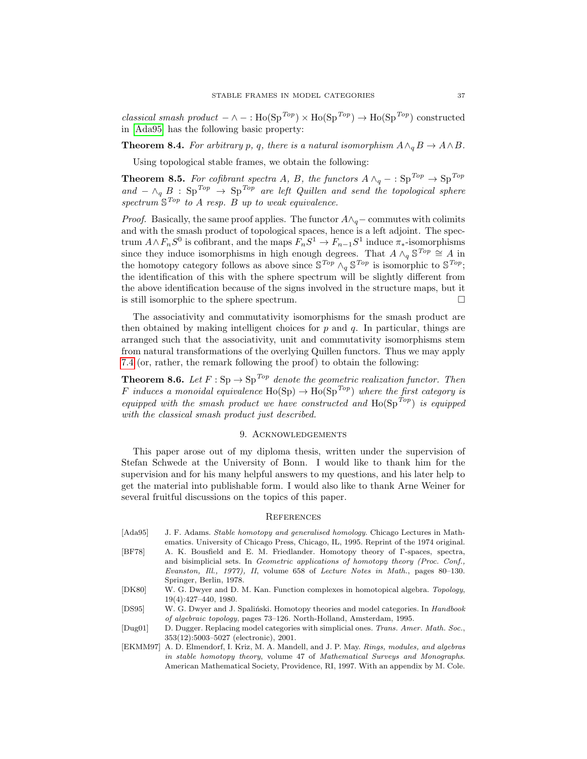classical smash product  $-\wedge -$ : Ho(Sp<sup>Top</sup>) × Ho(Sp<sup>Top</sup>) → Ho(Sp<sup>Top</sup>) constructed in [\[Ada95\]](#page-36-5) has the following basic property:

**Theorem 8.4.** For arbitrary p, q, there is a natural isomorphism  $A \wedge_q B \to A \wedge B$ .

Using topological stable frames, we obtain the following:

**Theorem 8.5.** For cofibrant spectra A, B, the functors  $A \wedge_q - : \text{Sp}^{Top} \to \text{Sp}^{Top}$ and  $-\wedge_q B$  : Sp<sup>Top</sup>  $\rightarrow$  Sp<sup>Top</sup> are left Quillen and send the topological sphere spectrum  $\mathbb{S}^{Top}$  to A resp. B up to weak equivalence.

*Proof.* Basically, the same proof applies. The functor  $A \wedge_{q}$  – commutes with colimits and with the smash product of topological spaces, hence is a left adjoint. The spectrum  $A \wedge F_n S^0$  is cofibrant, and the maps  $F_n S^1 \to F_{n-1} S^1$  induce  $\pi_*$ -isomorphisms since they induce isomorphisms in high enough degrees. That  $A \wedge_q \mathbb{S}^{Top} \cong A$  in the homotopy category follows as above since  $\mathbb{S}^{Top} \wedge_q \mathbb{S}^{Top}$  is isomorphic to  $\mathbb{S}^{Top}$ ; the identification of this with the sphere spectrum will be slightly different from the above identification because of the signs involved in the structure maps, but it is still isomorphic to the sphere spectrum.

The associativity and commutativity isomorphisms for the smash product are then obtained by making intelligent choices for  $p$  and  $q$ . In particular, things are arranged such that the associativity, unit and commutativity isomorphisms stem from natural transformations of the overlying Quillen functors. Thus we may apply [7.4](#page-27-0) (or, rather, the remark following the proof) to obtain the following:

**Theorem 8.6.** Let  $F : Sp \to Sp^{Top}$  denote the geometric realization functor. Then F induces a monoidal equivalence  $\text{Ho}(\text{Sp}) \to \text{Ho}(\text{Sp}^{Top})$  where the first category is equipped with the smash product we have constructed and  $Ho(Sp^{Top})$  is equipped with the classical smash product just described.

## 9. ACKNOWLEDGEMENTS

This paper arose out of my diploma thesis, written under the supervision of Stefan Schwede at the University of Bonn. I would like to thank him for the supervision and for his many helpful answers to my questions, and his later help to get the material into publishable form. I would also like to thank Arne Weiner for several fruitful discussions on the topics of this paper.

## **REFERENCES**

- <span id="page-36-5"></span><span id="page-36-0"></span>[Ada95] J. F. Adams. Stable homotopy and generalised homology. Chicago Lectures in Mathematics. University of Chicago Press, Chicago, IL, 1995. Reprint of the 1974 original. [BF78] A. K. Bousfield and E. M. Friedlander. Homotopy theory of Γ-spaces, spectra, and bisimplicial sets. In Geometric applications of homotopy theory (Proc. Conf., Evanston, Ill., 1977), II, volume 658 of Lecture Notes in Math., pages 80–130. Springer, Berlin, 1978.
- <span id="page-36-3"></span>[DK80] W. G. Dwyer and D. M. Kan. Function complexes in homotopical algebra. Topology, 19(4):427–440, 1980.
- <span id="page-36-2"></span>[DS95] W. G. Dwyer and J. Spaliński. Homotopy theories and model categories. In Handbook of algebraic topology, pages 73–126. North-Holland, Amsterdam, 1995.
- <span id="page-36-4"></span>[Dug01] D. Dugger. Replacing model categories with simplicial ones. Trans. Amer. Math. Soc., 353(12):5003–5027 (electronic), 2001.
- <span id="page-36-1"></span>[EKMM97] A. D. Elmendorf, I. Kriz, M. A. Mandell, and J. P. May. Rings, modules, and algebras in stable homotopy theory, volume 47 of Mathematical Surveys and Monographs. American Mathematical Society, Providence, RI, 1997. With an appendix by M. Cole.